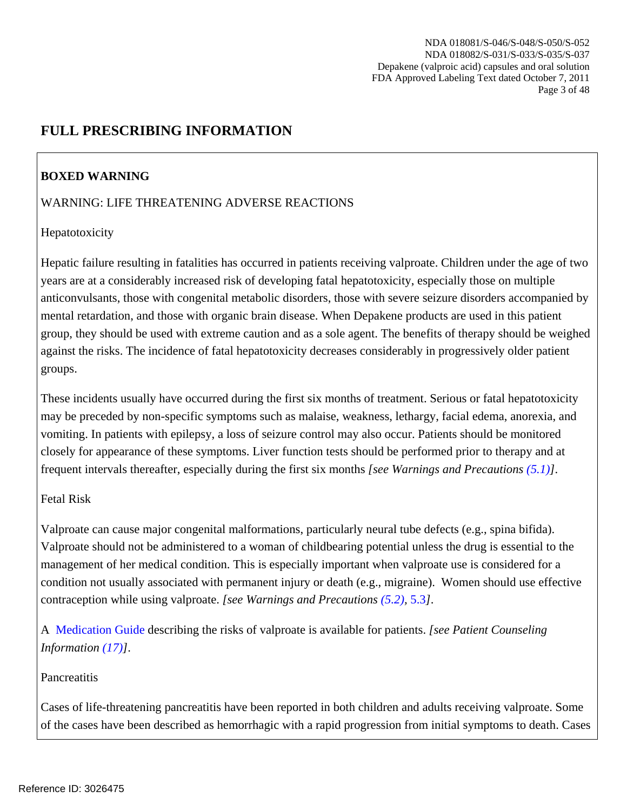# **FULL PRESCRIBING INFORMATION**

# **BOXED WARNING**

# WARNING: LIFE THREATENING ADVERSE REACTIONS

# Hepatotoxicity

Hepatic failure resulting in fatalities has occurred in patients receiving valproate. Children under the age of two years are at a considerably increased risk of developing fatal hepatotoxicity, especially those on multiple anticonvulsants, those with congenital metabolic disorders, those with severe seizure disorders accompanied by mental retardation, and those with organic brain disease. When Depakene products are used in this patient group, they should be used with extreme caution and as a sole agent. The benefits of therapy should be weighed against the risks. The incidence of fatal hepatotoxicity decreases considerably in progressively older patient groups.

These incidents usually have occurred during the first six months of treatment. Serious or fatal hepatotoxicity may be preceded by non-specific symptoms such as malaise, weakness, lethargy, facial edema, anorexia, and vomiting. In patients with epilepsy, a loss of seizure control may also occur. Patients should be monitored closely for appearance of these symptoms. Liver function tests should be performed prior to therapy and at frequent intervals thereafter, especially during the first six months *[see Warnings and Precautions (5.1)]*.

# Fetal Risk

Valproate can cause major congenital malformations, particularly neural tube defects (e.g., spina bifida). Valproate should not be administered to a woman of childbearing potential unless the drug is essential to the management of her medical condition. This is especially important when valproate use is considered for a condition not usually associated with permanent injury or death (e.g., migraine). Women should use effective contraception while using valproate. *[see Warnings and Precautions (5.2),* 5.3*]*.

A Medication Guide describing the risks of valproate is available for patients. *[see Patient Counseling Information (17)]*.

# **Pancreatitis**

Cases of life-threatening pancreatitis have been reported in both children and adults receiving valproate. Some of the cases have been described as hemorrhagic with a rapid progression from initial symptoms to death. Cases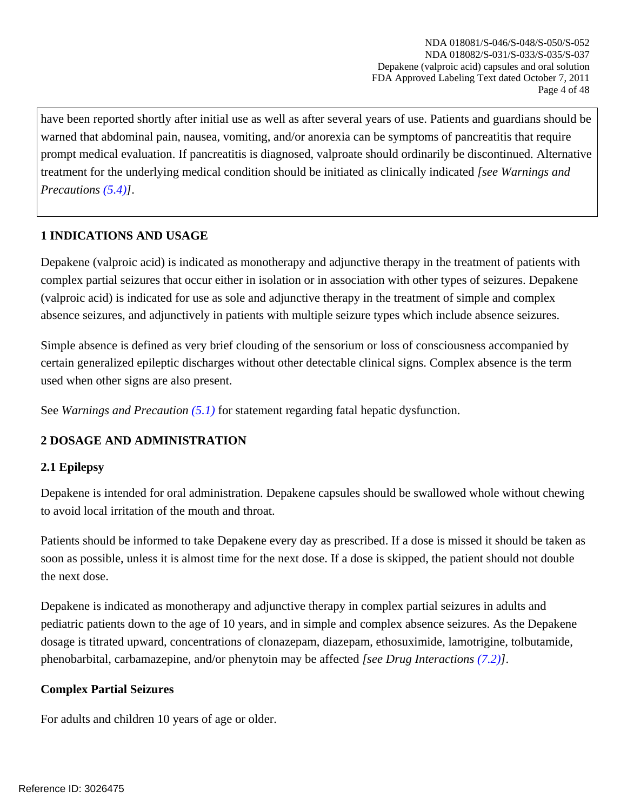have been reported shortly after initial use as well as after several years of use. Patients and guardians should be warned that abdominal pain, nausea, vomiting, and/or anorexia can be symptoms of pancreatitis that require prompt medical evaluation. If pancreatitis is diagnosed, valproate should ordinarily be discontinued. Alternative treatment for the underlying medical condition should be initiated as clinically indicated *[see Warnings and Precautions (5.4)]*.

# **1 INDICATIONS AND USAGE**

Depakene (valproic acid) is indicated as monotherapy and adjunctive therapy in the treatment of patients with complex partial seizures that occur either in isolation or in association with other types of seizures. Depakene (valproic acid) is indicated for use as sole and adjunctive therapy in the treatment of simple and complex absence seizures, and adjunctively in patients with multiple seizure types which include absence seizures.

Simple absence is defined as very brief clouding of the sensorium or loss of consciousness accompanied by certain generalized epileptic discharges without other detectable clinical signs. Complex absence is the term used when other signs are also present.

See *Warnings and Precaution (5.1)* for statement regarding fatal hepatic dysfunction.

# **2 DOSAGE AND ADMINISTRATION**

## **2.1 Epilepsy**

Depakene is intended for oral administration. Depakene capsules should be swallowed whole without chewing to avoid local irritation of the mouth and throat.

Patients should be informed to take Depakene every day as prescribed. If a dose is missed it should be taken as soon as possible, unless it is almost time for the next dose. If a dose is skipped, the patient should not double the next dose.

Depakene is indicated as monotherapy and adjunctive therapy in complex partial seizures in adults and pediatric patients down to the age of 10 years, and in simple and complex absence seizures. As the Depakene dosage is titrated upward, concentrations of clonazepam, diazepam, ethosuximide, lamotrigine, tolbutamide, phenobarbital, carbamazepine, and/or phenytoin may be affected *[see Drug Interactions (7.2)]*.

## **Complex Partial Seizures**

For adults and children 10 years of age or older.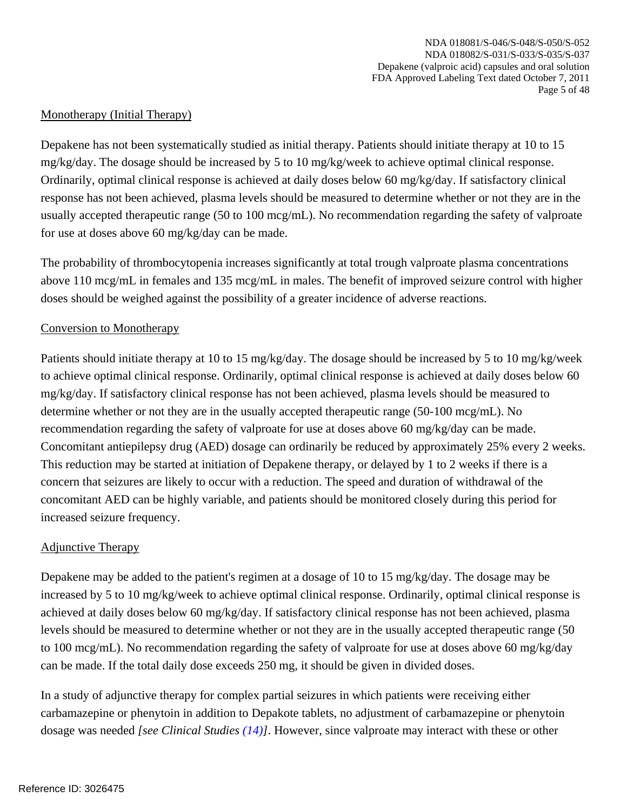### Monotherapy (Initial Therapy)

Depakene has not been systematically studied as initial therapy. Patients should initiate therapy at 10 to 15 mg/kg/day. The dosage should be increased by 5 to 10 mg/kg/week to achieve optimal clinical response. Ordinarily, optimal clinical response is achieved at daily doses below 60 mg/kg/day. If satisfactory clinical response has not been achieved, plasma levels should be measured to determine whether or not they are in the usually accepted therapeutic range (50 to 100 mcg/mL). No recommendation regarding the safety of valproate for use at doses above 60 mg/kg/day can be made.

The probability of thrombocytopenia increases significantly at total trough valproate plasma concentrations above 110 mcg/mL in females and 135 mcg/mL in males. The benefit of improved seizure control with higher doses should be weighed against the possibility of a greater incidence of adverse reactions.

### Conversion to Monotherapy

Patients should initiate therapy at 10 to 15 mg/kg/day. The dosage should be increased by 5 to 10 mg/kg/week to achieve optimal clinical response. Ordinarily, optimal clinical response is achieved at daily doses below 60 mg/kg/day. If satisfactory clinical response has not been achieved, plasma levels should be measured to determine whether or not they are in the usually accepted therapeutic range (50-100 mcg/mL). No recommendation regarding the safety of valproate for use at doses above 60 mg/kg/day can be made. Concomitant antiepilepsy drug (AED) dosage can ordinarily be reduced by approximately 25% every 2 weeks. This reduction may be started at initiation of Depakene therapy, or delayed by 1 to 2 weeks if there is a concern that seizures are likely to occur with a reduction. The speed and duration of withdrawal of the concomitant AED can be highly variable, and patients should be monitored closely during this period for increased seizure frequency.

#### Adjunctive Therapy

Depakene may be added to the patient's regimen at a dosage of 10 to 15 mg/kg/day. The dosage may be increased by 5 to 10 mg/kg/week to achieve optimal clinical response. Ordinarily, optimal clinical response is achieved at daily doses below 60 mg/kg/day. If satisfactory clinical response has not been achieved, plasma levels should be measured to determine whether or not they are in the usually accepted therapeutic range (50 to 100 mcg/mL). No recommendation regarding the safety of valproate for use at doses above 60 mg/kg/day can be made. If the total daily dose exceeds 250 mg, it should be given in divided doses.

In a study of adjunctive therapy for complex partial seizures in which patients were receiving either carbamazepine or phenytoin in addition to Depakote tablets, no adjustment of carbamazepine or phenytoin dosage was needed *[see Clinical Studies (14)]*. However, since valproate may interact with these or other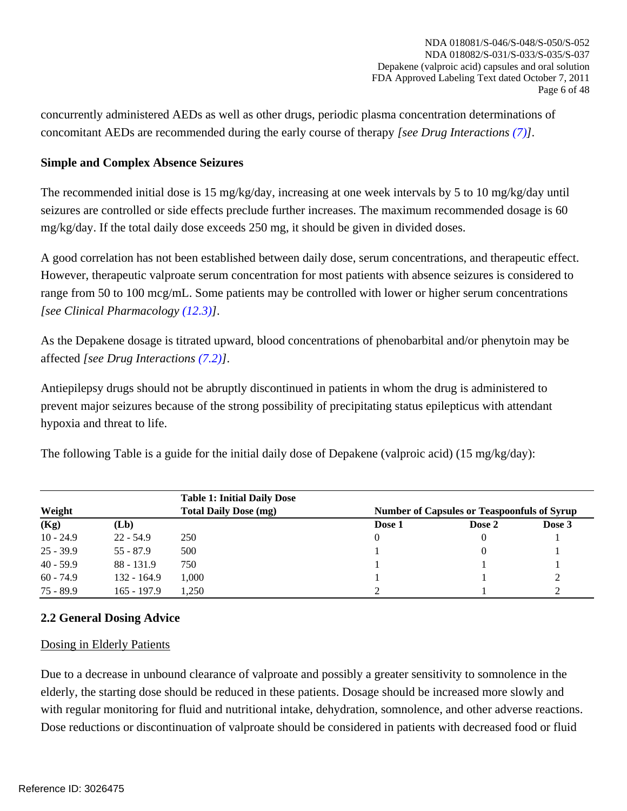concurrently administered AEDs as well as other drugs, periodic plasma concentration determinations of concomitant AEDs are recommended during the early course of therapy *[see Drug Interactions (7)]*.

## **Simple and Complex Absence Seizures**

The recommended initial dose is 15 mg/kg/day, increasing at one week intervals by 5 to 10 mg/kg/day until seizures are controlled or side effects preclude further increases. The maximum recommended dosage is 60 mg/kg/day. If the total daily dose exceeds 250 mg, it should be given in divided doses.

A good correlation has not been established between daily dose, serum concentrations, and therapeutic effect. However, therapeutic valproate serum concentration for most patients with absence seizures is considered to range from 50 to 100 mcg/mL. Some patients may be controlled with lower or higher serum concentrations *[see Clinical Pharmacology (12.3)]*.

As the Depakene dosage is titrated upward, blood concentrations of phenobarbital and/or phenytoin may be affected *[see Drug Interactions (7.2)]*.

Antiepilepsy drugs should not be abruptly discontinued in patients in whom the drug is administered to prevent major seizures because of the strong possibility of precipitating status epilepticus with attendant hypoxia and threat to life.

The following Table is a guide for the initial daily dose of Depakene (valproic acid) (15 mg/kg/day):

|             |               | <b>Table 1: Initial Daily Dose</b> |        |                                                    |        |  |
|-------------|---------------|------------------------------------|--------|----------------------------------------------------|--------|--|
| Weight      |               | <b>Total Daily Dose (mg)</b>       |        | <b>Number of Capsules or Teaspoonfuls of Syrup</b> |        |  |
| (Kg)        | (Lb)          |                                    | Dose 1 | Dose 2                                             | Dose 3 |  |
| $10 - 24.9$ | $22 - 54.9$   | 250                                |        | $\Omega$                                           |        |  |
| $25 - 39.9$ | $55 - 87.9$   | 500                                |        |                                                    |        |  |
| $40 - 59.9$ | $88 - 131.9$  | 750                                |        |                                                    |        |  |
| $60 - 74.9$ | 132 - 164.9   | 1.000                              |        |                                                    |        |  |
| $75 - 89.9$ | $165 - 197.9$ | 1.250                              |        |                                                    |        |  |

## **2.2 General Dosing Advice**

## Dosing in Elderly Patients

Due to a decrease in unbound clearance of valproate and possibly a greater sensitivity to somnolence in the elderly, the starting dose should be reduced in these patients. Dosage should be increased more slowly and with regular monitoring for fluid and nutritional intake, dehydration, somnolence, and other adverse reactions. Dose reductions or discontinuation of valproate should be considered in patients with decreased food or fluid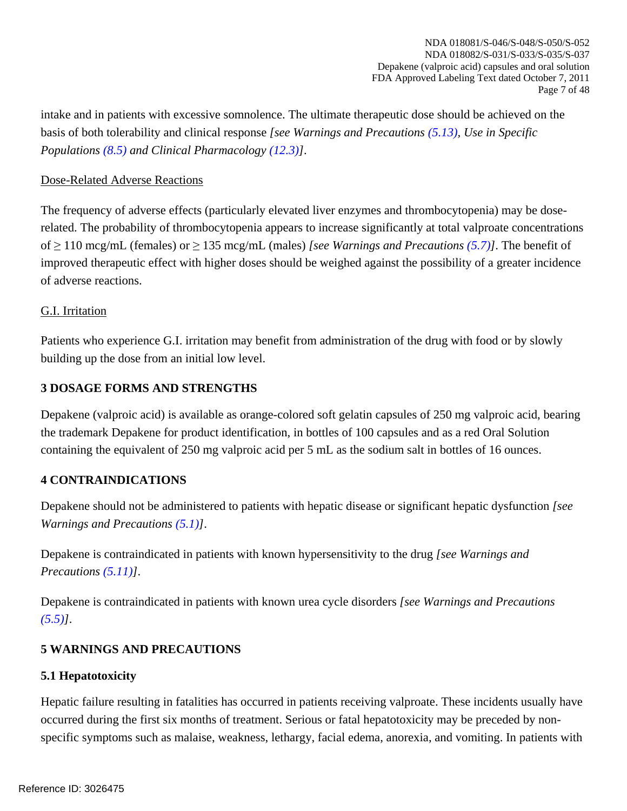intake and in patients with excessive somnolence. The ultimate therapeutic dose should be achieved on the basis of both tolerability and clinical response *[see Warnings and Precautions (5.13), Use in Specific Populations (8.5) and Clinical Pharmacology (12.3)]*.

## Dose-Related Adverse Reactions

The frequency of adverse effects (particularly elevated liver enzymes and thrombocytopenia) may be doserelated. The probability of thrombocytopenia appears to increase significantly at total valproate concentrations of ≥ 110 mcg/mL (females) or ≥ 135 mcg/mL (males) *[see Warnings and Precautions (5.7)]*. The benefit of improved therapeutic effect with higher doses should be weighed against the possibility of a greater incidence of adverse reactions.

## G.I. Irritation

Patients who experience G.I. irritation may benefit from administration of the drug with food or by slowly building up the dose from an initial low level.

## **3 DOSAGE FORMS AND STRENGTHS**

Depakene (valproic acid) is available as orange-colored soft gelatin capsules of 250 mg valproic acid, bearing the trademark Depakene for product identification, in bottles of 100 capsules and as a red Oral Solution containing the equivalent of 250 mg valproic acid per 5 mL as the sodium salt in bottles of 16 ounces.

## **4 CONTRAINDICATIONS**

Depakene should not be administered to patients with hepatic disease or significant hepatic dysfunction *[see Warnings and Precautions (5.1)]*.

Depakene is contraindicated in patients with known hypersensitivity to the drug *[see Warnings and Precautions (5.11)]*.

Depakene is contraindicated in patients with known urea cycle disorders *[see Warnings and Precautions (5.5)]*.

## **5 WARNINGS AND PRECAUTIONS**

## **5.1 Hepatotoxicity**

Hepatic failure resulting in fatalities has occurred in patients receiving valproate. These incidents usually have occurred during the first six months of treatment. Serious or fatal hepatotoxicity may be preceded by nonspecific symptoms such as malaise, weakness, lethargy, facial edema, anorexia, and vomiting. In patients with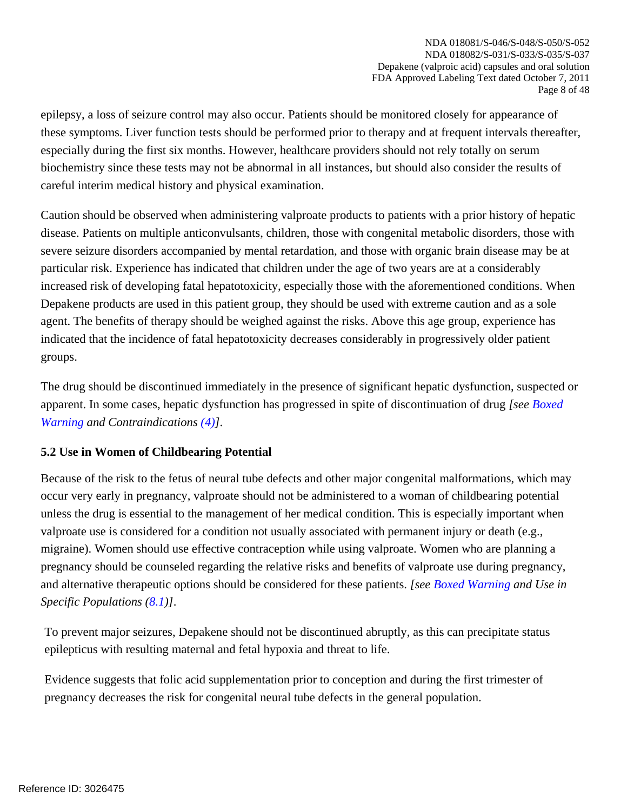epilepsy, a loss of seizure control may also occur. Patients should be monitored closely for appearance of these symptoms. Liver function tests should be performed prior to therapy and at frequent intervals thereafter, especially during the first six months. However, healthcare providers should not rely totally on serum biochemistry since these tests may not be abnormal in all instances, but should also consider the results of careful interim medical history and physical examination.

Caution should be observed when administering valproate products to patients with a prior history of hepatic disease. Patients on multiple anticonvulsants, children, those with congenital metabolic disorders, those with severe seizure disorders accompanied by mental retardation, and those with organic brain disease may be at particular risk. Experience has indicated that children under the age of two years are at a considerably increased risk of developing fatal hepatotoxicity, especially those with the aforementioned conditions. When Depakene products are used in this patient group, they should be used with extreme caution and as a sole agent. The benefits of therapy should be weighed against the risks. Above this age group, experience has indicated that the incidence of fatal hepatotoxicity decreases considerably in progressively older patient groups.

The drug should be discontinued immediately in the presence of significant hepatic dysfunction, suspected or apparent. In some cases, hepatic dysfunction has progressed in spite of discontinuation of drug *[see Boxed Warning and Contraindications (4)]*.

## **5.2 Use in Women of Childbearing Potential**

Because of the risk to the fetus of neural tube defects and other major congenital malformations, which may occur very early in pregnancy, valproate should not be administered to a woman of childbearing potential unless the drug is essential to the management of her medical condition. This is especially important when valproate use is considered for a condition not usually associated with permanent injury or death (e.g., migraine). Women should use effective contraception while using valproate. Women who are planning a pregnancy should be counseled regarding the relative risks and benefits of valproate use during pregnancy, and alternative therapeutic options should be considered for these patients. *[see Boxed Warning and Use in Specific Populations (8.1)]*.

To prevent major seizures, Depakene should not be discontinued abruptly, as this can precipitate status epilepticus with resulting maternal and fetal hypoxia and threat to life.

Evidence suggests that folic acid supplementation prior to conception and during the first trimester of pregnancy decreases the risk for congenital neural tube defects in the general population.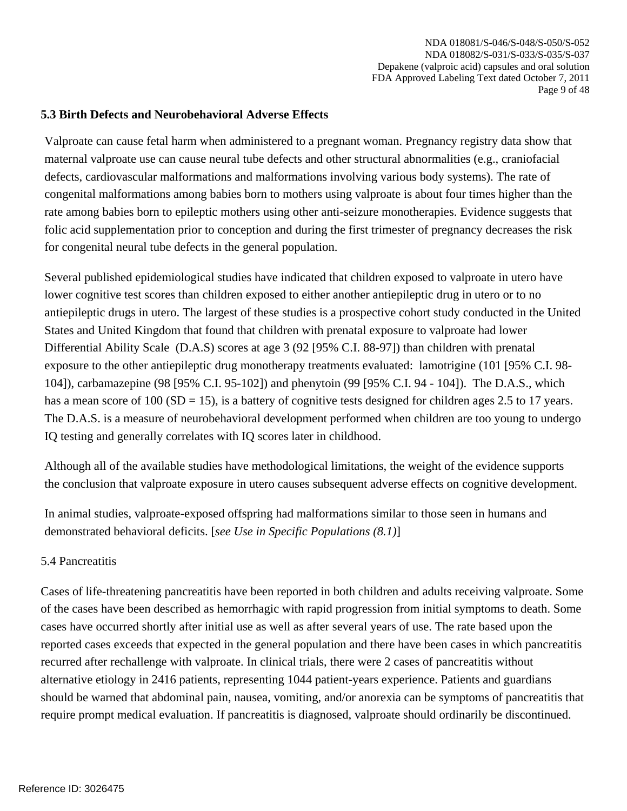NDA 018081/S-046/S-048/S-050/S-052 NDA 018082/S-031/S-033/S-035/S-037 Depakene (valproic acid) capsules and oral solution FDA Approved Labeling Text dated October 7, 2011 Page 9 of 48

#### **5.3 Birth Defects and Neurobehavioral Adverse Effects**

Valproate can cause fetal harm when administered to a pregnant woman. Pregnancy registry data show that maternal valproate use can cause neural tube defects and other structural abnormalities (e.g., craniofacial defects, cardiovascular malformations and malformations involving various body systems). The rate of congenital malformations among babies born to mothers using valproate is about four times higher than the rate among babies born to epileptic mothers using other anti-seizure monotherapies. Evidence suggests that folic acid supplementation prior to conception and during the first trimester of pregnancy decreases the risk for congenital neural tube defects in the general population.

Several published epidemiological studies have indicated that children exposed to valproate in utero have lower cognitive test scores than children exposed to either another antiepileptic drug in utero or to no antiepileptic drugs in utero. The largest of these studies is a prospective cohort study conducted in the United States and United Kingdom that found that children with prenatal exposure to valproate had lower Differential Ability Scale (D.A.S) scores at age 3 (92 [95% C.I. 88-97]) than children with prenatal exposure to the other antiepileptic drug monotherapy treatments evaluated: lamotrigine (101 [95% C.I. 98 104]), carbamazepine (98 [95% C.I. 95-102]) and phenytoin (99 [95% C.I. 94 - 104]). The D.A.S., which has a mean score of 100 (SD = 15), is a battery of cognitive tests designed for children ages 2.5 to 17 years. The D.A.S. is a measure of neurobehavioral development performed when children are too young to undergo IQ testing and generally correlates with IQ scores later in childhood.

Although all of the available studies have methodological limitations, the weight of the evidence supports the conclusion that valproate exposure in utero causes subsequent adverse effects on cognitive development.

In animal studies, valproate-exposed offspring had malformations similar to those seen in humans and demonstrated behavioral deficits. [*see Use in Specific Populations (8.1)*]

## 5.4 Pancreatitis

Cases of life-threatening pancreatitis have been reported in both children and adults receiving valproate. Some of the cases have been described as hemorrhagic with rapid progression from initial symptoms to death. Some cases have occurred shortly after initial use as well as after several years of use. The rate based upon the reported cases exceeds that expected in the general population and there have been cases in which pancreatitis recurred after rechallenge with valproate. In clinical trials, there were 2 cases of pancreatitis without alternative etiology in 2416 patients, representing 1044 patient-years experience. Patients and guardians should be warned that abdominal pain, nausea, vomiting, and/or anorexia can be symptoms of pancreatitis that require prompt medical evaluation. If pancreatitis is diagnosed, valproate should ordinarily be discontinued.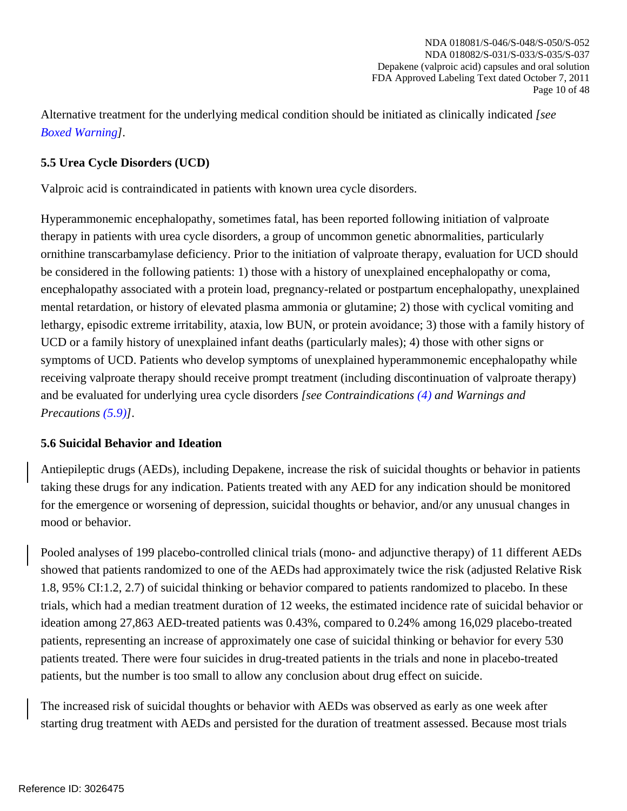Page 10 of 48 NDA 018081/S-046/S-048/S-050/S-052 NDA 018082/S-031/S-033/S-035/S-037 Depakene (valproic acid) capsules and oral solution FDA Approved Labeling Text dated October 7, 2011

Alternative treatment for the underlying medical condition should be initiated as clinically indicated *[see Boxed Warning]*.

# **5.5 Urea Cycle Disorders (UCD)**

Valproic acid is contraindicated in patients with known urea cycle disorders.

Hyperammonemic encephalopathy, sometimes fatal, has been reported following initiation of valproate therapy in patients with urea cycle disorders, a group of uncommon genetic abnormalities, particularly ornithine transcarbamylase deficiency. Prior to the initiation of valproate therapy, evaluation for UCD should be considered in the following patients: 1) those with a history of unexplained encephalopathy or coma, encephalopathy associated with a protein load, pregnancy-related or postpartum encephalopathy, unexplained mental retardation, or history of elevated plasma ammonia or glutamine; 2) those with cyclical vomiting and lethargy, episodic extreme irritability, ataxia, low BUN, or protein avoidance; 3) those with a family history of UCD or a family history of unexplained infant deaths (particularly males); 4) those with other signs or symptoms of UCD. Patients who develop symptoms of unexplained hyperammonemic encephalopathy while receiving valproate therapy should receive prompt treatment (including discontinuation of valproate therapy) and be evaluated for underlying urea cycle disorders *[see Contraindications (4) and Warnings and Precautions (5.9)]*.

## **5.6 Suicidal Behavior and Ideation**

Antiepileptic drugs (AEDs), including Depakene, increase the risk of suicidal thoughts or behavior in patients taking these drugs for any indication. Patients treated with any AED for any indication should be monitored for the emergence or worsening of depression, suicidal thoughts or behavior, and/or any unusual changes in mood or behavior.

Pooled analyses of 199 placebo-controlled clinical trials (mono- and adjunctive therapy) of 11 different AEDs showed that patients randomized to one of the AEDs had approximately twice the risk (adjusted Relative Risk 1.8, 95% CI:1.2, 2.7) of suicidal thinking or behavior compared to patients randomized to placebo. In these trials, which had a median treatment duration of 12 weeks, the estimated incidence rate of suicidal behavior or ideation among 27,863 AED-treated patients was 0.43%, compared to 0.24% among 16,029 placebo-treated patients, representing an increase of approximately one case of suicidal thinking or behavior for every 530 patients treated. There were four suicides in drug-treated patients in the trials and none in placebo-treated patients, but the number is too small to allow any conclusion about drug effect on suicide.

The increased risk of suicidal thoughts or behavior with AEDs was observed as early as one week after starting drug treatment with AEDs and persisted for the duration of treatment assessed. Because most trials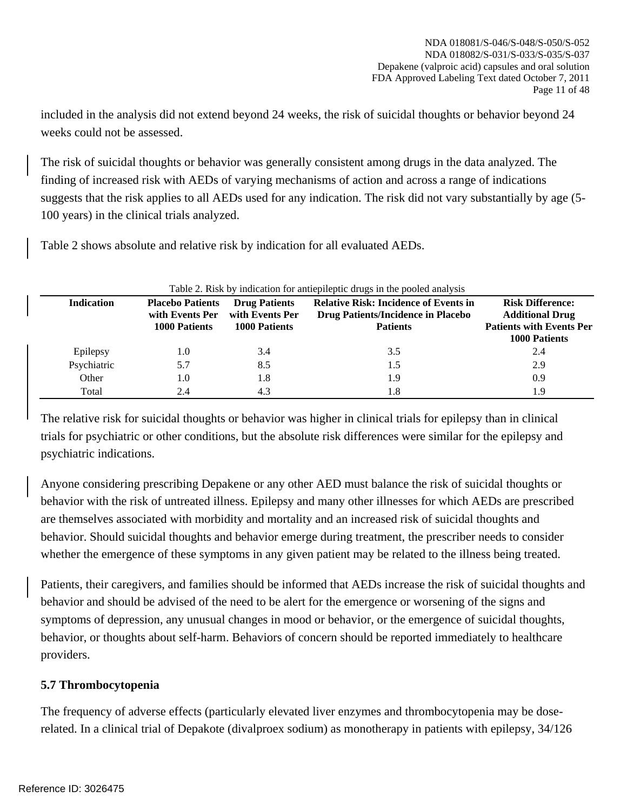included in the analysis did not extend beyond 24 weeks, the risk of suicidal thoughts or behavior beyond 24 weeks could not be assessed.

The risk of suicidal thoughts or behavior was generally consistent among drugs in the data analyzed. The finding of increased risk with AEDs of varying mechanisms of action and across a range of indications suggests that the risk applies to all AEDs used for any indication. The risk did not vary substantially by age (5 100 years) in the clinical trials analyzed.

| Table 2. Risk by indication for antiepileptic drugs in the pooled analysis |                                                                    |                                                                 |                                                                                                              |                                                                                                              |  |
|----------------------------------------------------------------------------|--------------------------------------------------------------------|-----------------------------------------------------------------|--------------------------------------------------------------------------------------------------------------|--------------------------------------------------------------------------------------------------------------|--|
| <b>Indication</b>                                                          | <b>Placebo Patients</b><br>with Events Per<br><b>1000 Patients</b> | <b>Drug Patients</b><br>with Events Per<br><b>1000 Patients</b> | <b>Relative Risk: Incidence of Events in</b><br><b>Drug Patients/Incidence in Placebo</b><br><b>Patients</b> | <b>Risk Difference:</b><br><b>Additional Drug</b><br><b>Patients with Events Per</b><br><b>1000 Patients</b> |  |
| Epilepsy                                                                   | 1.0                                                                | 3.4                                                             | 3.5                                                                                                          | 2.4                                                                                                          |  |
| Psychiatric                                                                | 5.7                                                                | 8.5                                                             | 1.5                                                                                                          | 2.9                                                                                                          |  |
| Other                                                                      | 1.0                                                                | 1.8                                                             | 1.9                                                                                                          | 0.9                                                                                                          |  |
| Total                                                                      | 2.4                                                                | 4.3                                                             | 1.8                                                                                                          | 1.9                                                                                                          |  |

Table 2 shows absolute and relative risk by indication for all evaluated AEDs.

The relative risk for suicidal thoughts or behavior was higher in clinical trials for epilepsy than in clinical trials for psychiatric or other conditions, but the absolute risk differences were similar for the epilepsy and psychiatric indications.

Anyone considering prescribing Depakene or any other AED must balance the risk of suicidal thoughts or behavior with the risk of untreated illness. Epilepsy and many other illnesses for which AEDs are prescribed are themselves associated with morbidity and mortality and an increased risk of suicidal thoughts and behavior. Should suicidal thoughts and behavior emerge during treatment, the prescriber needs to consider whether the emergence of these symptoms in any given patient may be related to the illness being treated.

Patients, their caregivers, and families should be informed that AEDs increase the risk of suicidal thoughts and behavior and should be advised of the need to be alert for the emergence or worsening of the signs and symptoms of depression, any unusual changes in mood or behavior, or the emergence of suicidal thoughts, behavior, or thoughts about self-harm. Behaviors of concern should be reported immediately to healthcare providers.

# **5.7 Thrombocytopenia**

The frequency of adverse effects (particularly elevated liver enzymes and thrombocytopenia may be doserelated. In a clinical trial of Depakote (divalproex sodium) as monotherapy in patients with epilepsy, 34/126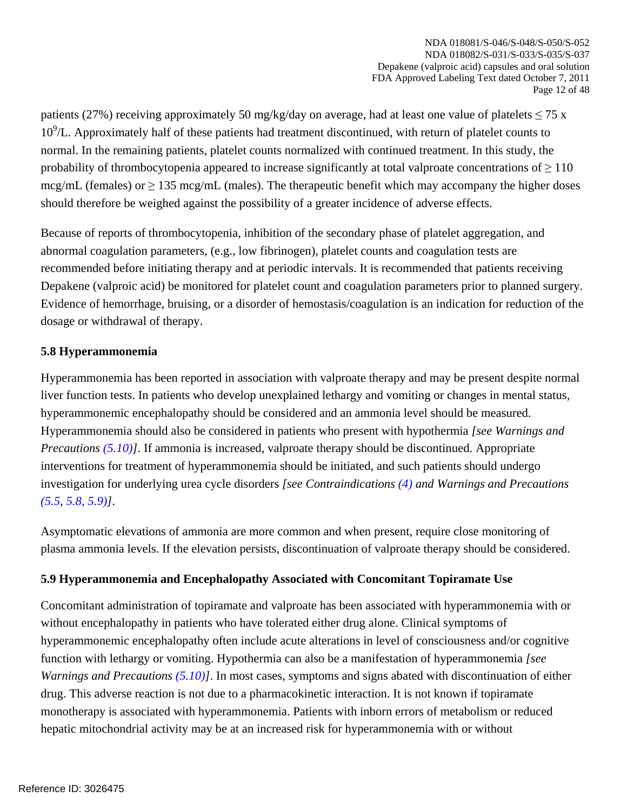patients (27%) receiving approximately 50 mg/kg/day on average, had at least one value of platelets  $\leq$  75 x  $10<sup>9</sup>/L$ . Approximately half of these patients had treatment discontinued, with return of platelet counts to normal. In the remaining patients, platelet counts normalized with continued treatment. In this study, the probability of thrombocytopenia appeared to increase significantly at total valproate concentrations of  $\geq 110$ mcg/mL (females) or  $\geq$  135 mcg/mL (males). The therapeutic benefit which may accompany the higher doses should therefore be weighed against the possibility of a greater incidence of adverse effects.

Because of reports of thrombocytopenia, inhibition of the secondary phase of platelet aggregation, and abnormal coagulation parameters, (e.g., low fibrinogen), platelet counts and coagulation tests are recommended before initiating therapy and at periodic intervals. It is recommended that patients receiving Depakene (valproic acid) be monitored for platelet count and coagulation parameters prior to planned surgery. Evidence of hemorrhage, bruising, or a disorder of hemostasis/coagulation is an indication for reduction of the dosage or withdrawal of therapy.

## **5.8 Hyperammonemia**

Hyperammonemia has been reported in association with valproate therapy and may be present despite normal liver function tests. In patients who develop unexplained lethargy and vomiting or changes in mental status, hyperammonemic encephalopathy should be considered and an ammonia level should be measured. Hyperammonemia should also be considered in patients who present with hypothermia *[see Warnings and Precautions (5.10)]*. If ammonia is increased, valproate therapy should be discontinued. Appropriate interventions for treatment of hyperammonemia should be initiated, and such patients should undergo investigation for underlying urea cycle disorders *[see Contraindications (4) and Warnings and Precautions (5.5, 5.8, 5.9)]*.

Asymptomatic elevations of ammonia are more common and when present, require close monitoring of plasma ammonia levels. If the elevation persists, discontinuation of valproate therapy should be considered.

## **5.9 Hyperammonemia and Encephalopathy Associated with Concomitant Topiramate Use**

Concomitant administration of topiramate and valproate has been associated with hyperammonemia with or without encephalopathy in patients who have tolerated either drug alone. Clinical symptoms of hyperammonemic encephalopathy often include acute alterations in level of consciousness and/or cognitive function with lethargy or vomiting. Hypothermia can also be a manifestation of hyperammonemia *[see Warnings and Precautions (5.10)]*. In most cases, symptoms and signs abated with discontinuation of either drug. This adverse reaction is not due to a pharmacokinetic interaction. It is not known if topiramate monotherapy is associated with hyperammonemia. Patients with inborn errors of metabolism or reduced hepatic mitochondrial activity may be at an increased risk for hyperammonemia with or without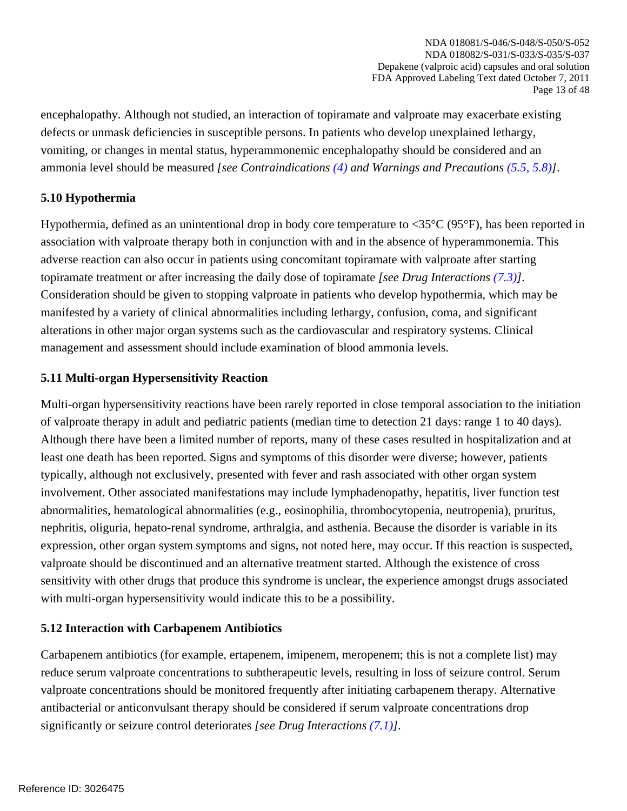Page 13 of 48 NDA 018081/S-046/S-048/S-050/S-052 NDA 018082/S-031/S-033/S-035/S-037 Depakene (valproic acid) capsules and oral solution FDA Approved Labeling Text dated October 7, 2011

encephalopathy. Although not studied, an interaction of topiramate and valproate may exacerbate existing defects or unmask deficiencies in susceptible persons. In patients who develop unexplained lethargy, vomiting, or changes in mental status, hyperammonemic encephalopathy should be considered and an ammonia level should be measured *[see Contraindications (4) and Warnings and Precautions (5.5, 5.8)]*.

# **5.10 Hypothermia**

Hypothermia, defined as an unintentional drop in body core temperature to <35°C (95°F), has been reported in association with valproate therapy both in conjunction with and in the absence of hyperammonemia. This adverse reaction can also occur in patients using concomitant topiramate with valproate after starting topiramate treatment or after increasing the daily dose of topiramate *[see Drug Interactions (7.3)]*. Consideration should be given to stopping valproate in patients who develop hypothermia, which may be manifested by a variety of clinical abnormalities including lethargy, confusion, coma, and significant alterations in other major organ systems such as the cardiovascular and respiratory systems. Clinical management and assessment should include examination of blood ammonia levels.

## **5.11 Multi-organ Hypersensitivity Reaction**

Multi-organ hypersensitivity reactions have been rarely reported in close temporal association to the initiation of valproate therapy in adult and pediatric patients (median time to detection 21 days: range 1 to 40 days). Although there have been a limited number of reports, many of these cases resulted in hospitalization and at least one death has been reported. Signs and symptoms of this disorder were diverse; however, patients typically, although not exclusively, presented with fever and rash associated with other organ system involvement. Other associated manifestations may include lymphadenopathy, hepatitis, liver function test abnormalities, hematological abnormalities (e.g., eosinophilia, thrombocytopenia, neutropenia), pruritus, nephritis, oliguria, hepato-renal syndrome, arthralgia, and asthenia. Because the disorder is variable in its expression, other organ system symptoms and signs, not noted here, may occur. If this reaction is suspected, valproate should be discontinued and an alternative treatment started. Although the existence of cross sensitivity with other drugs that produce this syndrome is unclear, the experience amongst drugs associated with multi-organ hypersensitivity would indicate this to be a possibility.

# **5.12 Interaction with Carbapenem Antibiotics**

Carbapenem antibiotics (for example, ertapenem, imipenem, meropenem; this is not a complete list) may reduce serum valproate concentrations to subtherapeutic levels, resulting in loss of seizure control. Serum valproate concentrations should be monitored frequently after initiating carbapenem therapy. Alternative antibacterial or anticonvulsant therapy should be considered if serum valproate concentrations drop significantly or seizure control deteriorates *[see Drug Interactions (7.1)]*.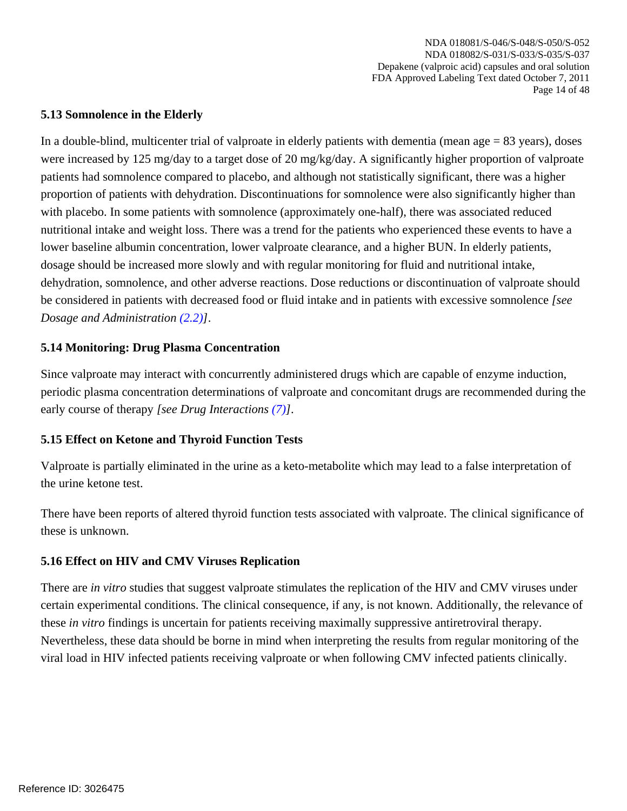Page 14 of 48 NDA 018081/S-046/S-048/S-050/S-052 NDA 018082/S-031/S-033/S-035/S-037 Depakene (valproic acid) capsules and oral solution FDA Approved Labeling Text dated October 7, 2011

### **5.13 Somnolence in the Elderly**

In a double-blind, multicenter trial of valproate in elderly patients with dementia (mean  $\alpha$ ge = 83 years), doses were increased by 125 mg/day to a target dose of 20 mg/kg/day. A significantly higher proportion of valproate patients had somnolence compared to placebo, and although not statistically significant, there was a higher proportion of patients with dehydration. Discontinuations for somnolence were also significantly higher than with placebo. In some patients with somnolence (approximately one-half), there was associated reduced nutritional intake and weight loss. There was a trend for the patients who experienced these events to have a lower baseline albumin concentration, lower valproate clearance, and a higher BUN. In elderly patients, dosage should be increased more slowly and with regular monitoring for fluid and nutritional intake, dehydration, somnolence, and other adverse reactions. Dose reductions or discontinuation of valproate should be considered in patients with decreased food or fluid intake and in patients with excessive somnolence *[see Dosage and Administration (2.2)]*.

## **5.14 Monitoring: Drug Plasma Concentration**

Since valproate may interact with concurrently administered drugs which are capable of enzyme induction, periodic plasma concentration determinations of valproate and concomitant drugs are recommended during the early course of therapy *[see Drug Interactions (7)]*.

## **5.15 Effect on Ketone and Thyroid Function Tests**

Valproate is partially eliminated in the urine as a keto-metabolite which may lead to a false interpretation of the urine ketone test.

There have been reports of altered thyroid function tests associated with valproate. The clinical significance of these is unknown.

## **5.16 Effect on HIV and CMV Viruses Replication**

There are *in vitro* studies that suggest valproate stimulates the replication of the HIV and CMV viruses under certain experimental conditions. The clinical consequence, if any, is not known. Additionally, the relevance of these *in vitro* findings is uncertain for patients receiving maximally suppressive antiretroviral therapy. Nevertheless, these data should be borne in mind when interpreting the results from regular monitoring of the viral load in HIV infected patients receiving valproate or when following CMV infected patients clinically.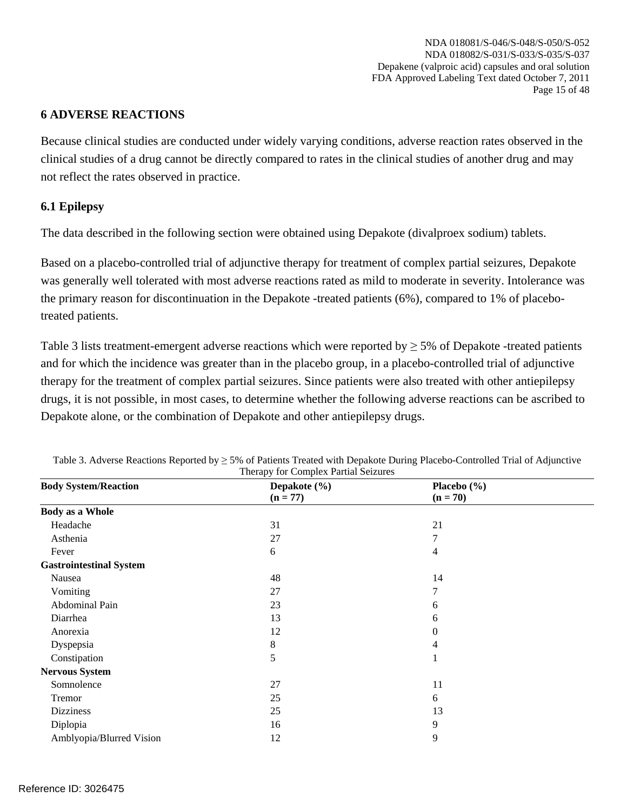Page 15 of 48 NDA 018081/S-046/S-048/S-050/S-052 NDA 018082/S-031/S-033/S-035/S-037 Depakene (valproic acid) capsules and oral solution FDA Approved Labeling Text dated October 7, 2011

#### **6 ADVERSE REACTIONS**

Because clinical studies are conducted under widely varying conditions, adverse reaction rates observed in the clinical studies of a drug cannot be directly compared to rates in the clinical studies of another drug and may not reflect the rates observed in practice.

## **6.1 Epilepsy**

The data described in the following section were obtained using Depakote (divalproex sodium) tablets.

Based on a placebo-controlled trial of adjunctive therapy for treatment of complex partial seizures, Depakote was generally well tolerated with most adverse reactions rated as mild to moderate in severity. Intolerance was the primary reason for discontinuation in the Depakote -treated patients (6%), compared to 1% of placebotreated patients.

Table 3 lists treatment-emergent adverse reactions which were reported by  $\geq$  5% of Depakote -treated patients and for which the incidence was greater than in the placebo group, in a placebo-controlled trial of adjunctive therapy for the treatment of complex partial seizures. Since patients were also treated with other antiepilepsy drugs, it is not possible, in most cases, to determine whether the following adverse reactions can be ascribed to Depakote alone, or the combination of Depakote and other antiepilepsy drugs.

| <b>Body System/Reaction</b>    | Depakote (%) | Placebo $(\% )$ |  |
|--------------------------------|--------------|-----------------|--|
|                                | $(n = 77)$   | $(n = 70)$      |  |
| <b>Body as a Whole</b>         |              |                 |  |
| Headache                       | 31           | 21              |  |
| Asthenia                       | 27           | 7               |  |
| Fever                          | 6            | 4               |  |
| <b>Gastrointestinal System</b> |              |                 |  |
| Nausea                         | 48           | 14              |  |
| Vomiting                       | 27           | 7               |  |
| Abdominal Pain                 | 23           | 6               |  |
| Diarrhea                       | 13           | 6               |  |
| Anorexia                       | 12           | $\theta$        |  |
| Dyspepsia                      | 8            | 4               |  |
| Constipation                   | 5            | 1               |  |
| <b>Nervous System</b>          |              |                 |  |
| Somnolence                     | 27           | 11              |  |
| Tremor                         | 25           | 6               |  |
| <b>Dizziness</b>               | 25           | 13              |  |
| Diplopia                       | 16           | 9               |  |
| Amblyopia/Blurred Vision       | 12           | 9               |  |

Table 3. Adverse Reactions Reported by  $\geq$  5% of Patients Treated with Depakote During Placebo-Controlled Trial of Adjunctive Therapy for Complex Partial Seizures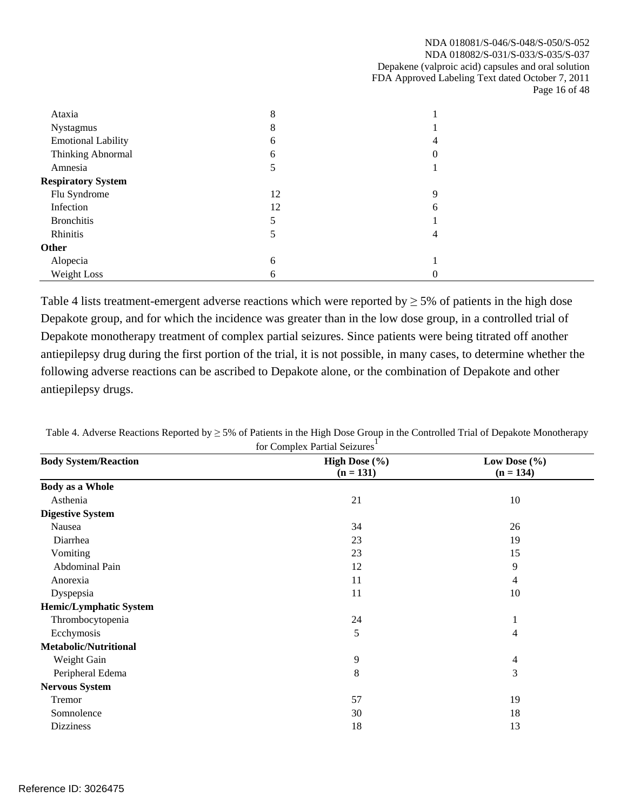| 8            |          |
|--------------|----------|
| 8            |          |
| 6            |          |
| <sub>0</sub> | 0        |
|              |          |
|              |          |
| 12           | 9        |
| 12           | 6        |
|              |          |
|              | 4        |
|              |          |
| 6            |          |
| 6            | $\theta$ |
|              |          |

Table 4 lists treatment-emergent adverse reactions which were reported by  $\geq$  5% of patients in the high dose Depakote group, and for which the incidence was greater than in the low dose group, in a controlled trial of Depakote monotherapy treatment of complex partial seizures. Since patients were being titrated off another antiepilepsy drug during the first portion of the trial, it is not possible, in many cases, to determine whether the following adverse reactions can be ascribed to Depakote alone, or the combination of Depakote and other antiepilepsy drugs.

| <b>Body System/Reaction</b>   | High Dose (%) | Low Dose $(\% )$ |
|-------------------------------|---------------|------------------|
|                               | $(n = 131)$   | $(n = 134)$      |
| <b>Body as a Whole</b>        |               |                  |
| Asthenia                      | 21            | 10               |
| <b>Digestive System</b>       |               |                  |
| Nausea                        | 34            | 26               |
| Diarrhea                      | 23            | 19               |
| Vomiting                      | 23            | 15               |
| Abdominal Pain                | 12            | 9                |
| Anorexia                      | 11            | 4                |
| Dyspepsia                     | 11            | 10               |
| <b>Hemic/Lymphatic System</b> |               |                  |
| Thrombocytopenia              | 24            | 1                |
| Ecchymosis                    | 5             | 4                |
| <b>Metabolic/Nutritional</b>  |               |                  |
| Weight Gain                   | 9             | 4                |
| Peripheral Edema              | 8             | 3                |
| <b>Nervous System</b>         |               |                  |
| Tremor                        | 57            | 19               |
| Somnolence                    | 30            | 18               |
| <b>Dizziness</b>              | 18            | 13               |

Table 4. Adverse Reactions Reported by ≥ 5% of Patients in the High Dose Group in the Controlled Trial of Depakote Monotherapy for Complex Partial Seizures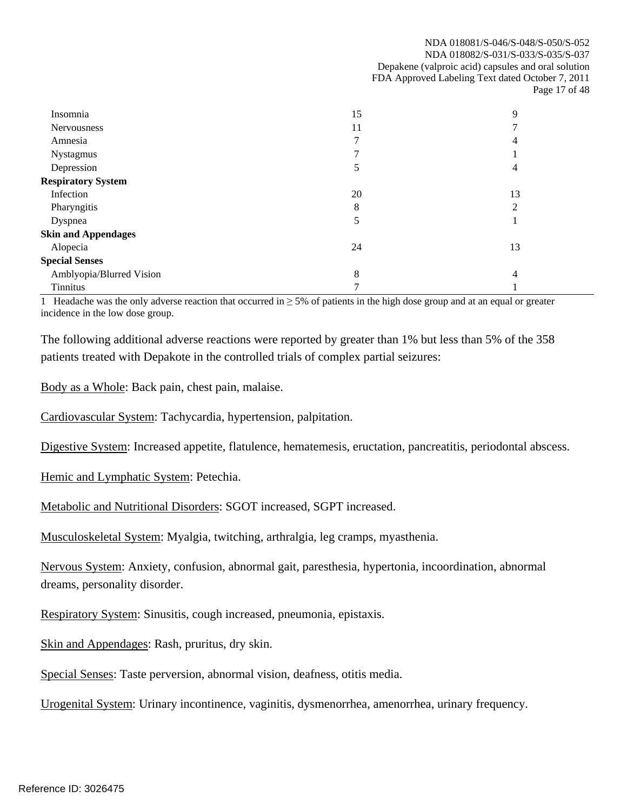| Insomnia                   | 15 | 9  |
|----------------------------|----|----|
| Nervousness                | 11 | 7  |
| Amnesia                    | ⇁  | 4  |
| Nystagmus                  |    |    |
| Depression                 | 5  | 4  |
| <b>Respiratory System</b>  |    |    |
| Infection                  | 20 | 13 |
| Pharyngitis                | 8  | 2  |
| Dyspnea                    | 5  |    |
| <b>Skin and Appendages</b> |    |    |
| Alopecia                   | 24 | 13 |
| <b>Special Senses</b>      |    |    |
| Amblyopia/Blurred Vision   | 8  | 4  |
| Tinnitus                   |    |    |

1 Headache was the only adverse reaction that occurred in  $\geq$  5% of patients in the high dose group and at an equal or greater incidence in the low dose group.

The following additional adverse reactions were reported by greater than 1% but less than 5% of the 358 patients treated with Depakote in the controlled trials of complex partial seizures:

Body as a Whole: Back pain, chest pain, malaise.

Cardiovascular System: Tachycardia, hypertension, palpitation.

Digestive System: Increased appetite, flatulence, hematemesis, eructation, pancreatitis, periodontal abscess.

Hemic and Lymphatic System: Petechia.

Metabolic and Nutritional Disorders: SGOT increased, SGPT increased.

Musculoskeletal System: Myalgia, twitching, arthralgia, leg cramps, myasthenia.

Nervous System: Anxiety, confusion, abnormal gait, paresthesia, hypertonia, incoordination, abnormal dreams, personality disorder.

Respiratory System: Sinusitis, cough increased, pneumonia, epistaxis.

Skin and Appendages: Rash, pruritus, dry skin.

Special Senses: Taste perversion, abnormal vision, deafness, otitis media.

Urogenital System: Urinary incontinence, vaginitis, dysmenorrhea, amenorrhea, urinary frequency.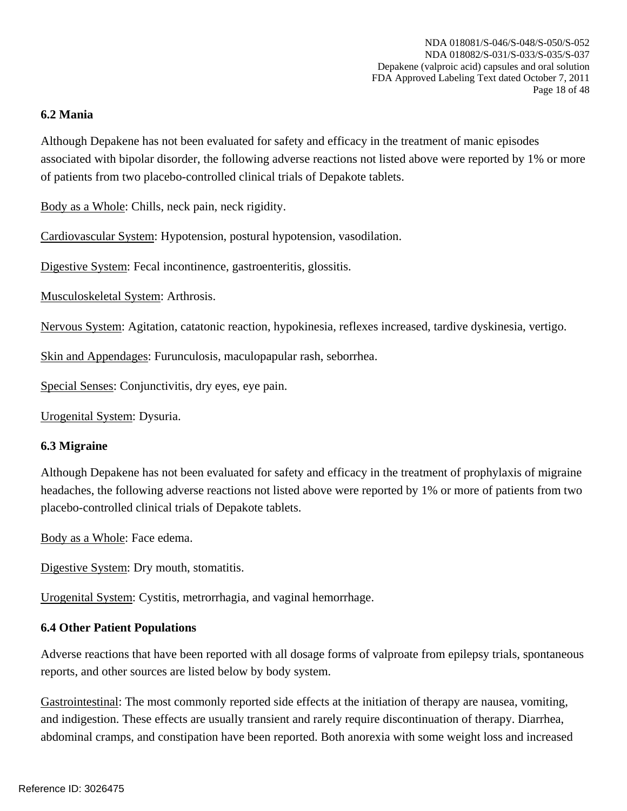#### **6.2 Mania**

Although Depakene has not been evaluated for safety and efficacy in the treatment of manic episodes associated with bipolar disorder, the following adverse reactions not listed above were reported by 1% or more of patients from two placebo-controlled clinical trials of Depakote tablets.

Body as a Whole: Chills, neck pain, neck rigidity.

Cardiovascular System: Hypotension, postural hypotension, vasodilation.

Digestive System: Fecal incontinence, gastroenteritis, glossitis.

Musculoskeletal System: Arthrosis.

Nervous System: Agitation, catatonic reaction, hypokinesia, reflexes increased, tardive dyskinesia, vertigo.

Skin and Appendages: Furunculosis, maculopapular rash, seborrhea.

Special Senses: Conjunctivitis, dry eyes, eye pain.

Urogenital System: Dysuria.

#### **6.3 Migraine**

Although Depakene has not been evaluated for safety and efficacy in the treatment of prophylaxis of migraine headaches, the following adverse reactions not listed above were reported by 1% or more of patients from two placebo-controlled clinical trials of Depakote tablets.

Body as a Whole: Face edema.

Digestive System: Dry mouth, stomatitis.

Urogenital System: Cystitis, metrorrhagia, and vaginal hemorrhage.

#### **6.4 Other Patient Populations**

Adverse reactions that have been reported with all dosage forms of valproate from epilepsy trials, spontaneous reports, and other sources are listed below by body system.

Gastrointestinal: The most commonly reported side effects at the initiation of therapy are nausea, vomiting, and indigestion. These effects are usually transient and rarely require discontinuation of therapy. Diarrhea, abdominal cramps, and constipation have been reported. Both anorexia with some weight loss and increased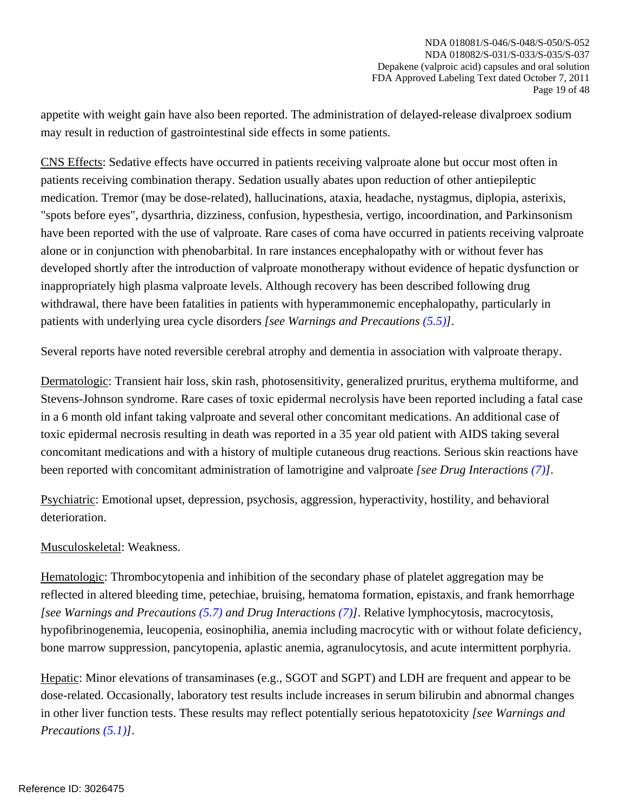appetite with weight gain have also been reported. The administration of delayed-release divalproex sodium may result in reduction of gastrointestinal side effects in some patients.

CNS Effects: Sedative effects have occurred in patients receiving valproate alone but occur most often in patients receiving combination therapy. Sedation usually abates upon reduction of other antiepileptic medication. Tremor (may be dose-related), hallucinations, ataxia, headache, nystagmus, diplopia, asterixis, "spots before eyes", dysarthria, dizziness, confusion, hypesthesia, vertigo, incoordination, and Parkinsonism have been reported with the use of valproate. Rare cases of coma have occurred in patients receiving valproate alone or in conjunction with phenobarbital. In rare instances encephalopathy with or without fever has developed shortly after the introduction of valproate monotherapy without evidence of hepatic dysfunction or inappropriately high plasma valproate levels. Although recovery has been described following drug withdrawal, there have been fatalities in patients with hyperammonemic encephalopathy, particularly in patients with underlying urea cycle disorders *[see Warnings and Precautions (5.5)]*.

Several reports have noted reversible cerebral atrophy and dementia in association with valproate therapy.

Dermatologic: Transient hair loss, skin rash, photosensitivity, generalized pruritus, erythema multiforme, and Stevens-Johnson syndrome. Rare cases of toxic epidermal necrolysis have been reported including a fatal case in a 6 month old infant taking valproate and several other concomitant medications. An additional case of toxic epidermal necrosis resulting in death was reported in a 35 year old patient with AIDS taking several concomitant medications and with a history of multiple cutaneous drug reactions. Serious skin reactions have been reported with concomitant administration of lamotrigine and valproate *[see Drug Interactions (7)]*.

Psychiatric: Emotional upset, depression, psychosis, aggression, hyperactivity, hostility, and behavioral deterioration.

## Musculoskeletal: Weakness.

Hematologic: Thrombocytopenia and inhibition of the secondary phase of platelet aggregation may be reflected in altered bleeding time, petechiae, bruising, hematoma formation, epistaxis, and frank hemorrhage *[see Warnings and Precautions (5.7) and Drug Interactions (7)]*. Relative lymphocytosis, macrocytosis, hypofibrinogenemia, leucopenia, eosinophilia, anemia including macrocytic with or without folate deficiency, bone marrow suppression, pancytopenia, aplastic anemia, agranulocytosis, and acute intermittent porphyria.

Hepatic: Minor elevations of transaminases (e.g., SGOT and SGPT) and LDH are frequent and appear to be dose-related. Occasionally, laboratory test results include increases in serum bilirubin and abnormal changes in other liver function tests. These results may reflect potentially serious hepatotoxicity *[see Warnings and Precautions (5.1)]*.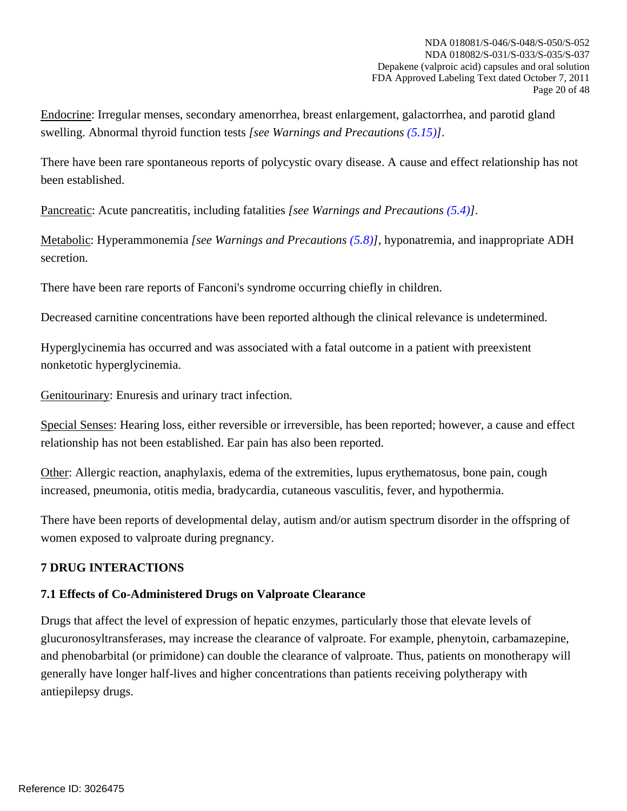Endocrine: Irregular menses, secondary amenorrhea, breast enlargement, galactorrhea, and parotid gland swelling. Abnormal thyroid function tests *[see Warnings and Precautions (5.15)]*.

There have been rare spontaneous reports of polycystic ovary disease. A cause and effect relationship has not been established.

Pancreatic: Acute pancreatitis, including fatalities *[see Warnings and Precautions (5.4)]*.

Metabolic: Hyperammonemia *[see Warnings and Precautions (5.8)]*, hyponatremia, and inappropriate ADH secretion.

There have been rare reports of Fanconi's syndrome occurring chiefly in children.

Decreased carnitine concentrations have been reported although the clinical relevance is undetermined.

Hyperglycinemia has occurred and was associated with a fatal outcome in a patient with preexistent nonketotic hyperglycinemia.

Genitourinary: Enuresis and urinary tract infection.

Special Senses: Hearing loss, either reversible or irreversible, has been reported; however, a cause and effect relationship has not been established. Ear pain has also been reported.

Other: Allergic reaction, anaphylaxis, edema of the extremities, lupus erythematosus, bone pain, cough increased, pneumonia, otitis media, bradycardia, cutaneous vasculitis, fever, and hypothermia.

There have been reports of developmental delay, autism and/or autism spectrum disorder in the offspring of women exposed to valproate during pregnancy.

# **7 DRUG INTERACTIONS**

# **7.1 Effects of Co-Administered Drugs on Valproate Clearance**

Drugs that affect the level of expression of hepatic enzymes, particularly those that elevate levels of glucuronosyltransferases, may increase the clearance of valproate. For example, phenytoin, carbamazepine, and phenobarbital (or primidone) can double the clearance of valproate. Thus, patients on monotherapy will generally have longer half-lives and higher concentrations than patients receiving polytherapy with antiepilepsy drugs.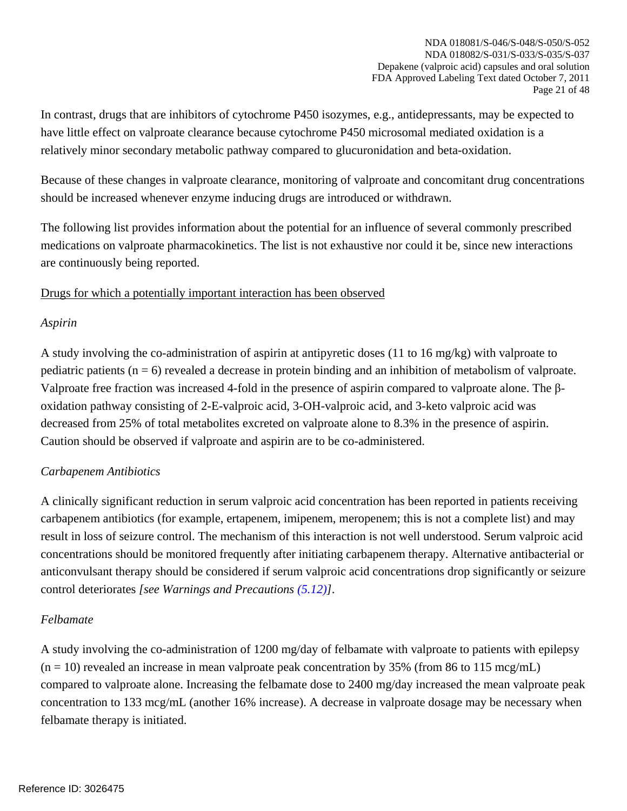In contrast, drugs that are inhibitors of cytochrome P450 isozymes, e.g., antidepressants, may be expected to have little effect on valproate clearance because cytochrome P450 microsomal mediated oxidation is a relatively minor secondary metabolic pathway compared to glucuronidation and beta-oxidation.

Because of these changes in valproate clearance, monitoring of valproate and concomitant drug concentrations should be increased whenever enzyme inducing drugs are introduced or withdrawn.

The following list provides information about the potential for an influence of several commonly prescribed medications on valproate pharmacokinetics. The list is not exhaustive nor could it be, since new interactions are continuously being reported.

### Drugs for which a potentially important interaction has been observed

### *Aspirin*

A study involving the co-administration of aspirin at antipyretic doses (11 to 16 mg/kg) with valproate to pediatric patients  $(n = 6)$  revealed a decrease in protein binding and an inhibition of metabolism of valproate. Valproate free fraction was increased 4-fold in the presence of aspirin compared to valproate alone. The βoxidation pathway consisting of 2-E-valproic acid, 3-OH-valproic acid, and 3-keto valproic acid was decreased from 25% of total metabolites excreted on valproate alone to 8.3% in the presence of aspirin. Caution should be observed if valproate and aspirin are to be co-administered.

## *Carbapenem Antibiotics*

A clinically significant reduction in serum valproic acid concentration has been reported in patients receiving carbapenem antibiotics (for example, ertapenem, imipenem, meropenem; this is not a complete list) and may result in loss of seizure control. The mechanism of this interaction is not well understood. Serum valproic acid concentrations should be monitored frequently after initiating carbapenem therapy. Alternative antibacterial or anticonvulsant therapy should be considered if serum valproic acid concentrations drop significantly or seizure control deteriorates *[see Warnings and Precautions (5.12)]*.

## *Felbamate*

A study involving the co-administration of 1200 mg/day of felbamate with valproate to patients with epilepsy  $(n = 10)$  revealed an increase in mean valproate peak concentration by 35% (from 86 to 115 mcg/mL) compared to valproate alone. Increasing the felbamate dose to 2400 mg/day increased the mean valproate peak concentration to 133 mcg/mL (another 16% increase). A decrease in valproate dosage may be necessary when felbamate therapy is initiated.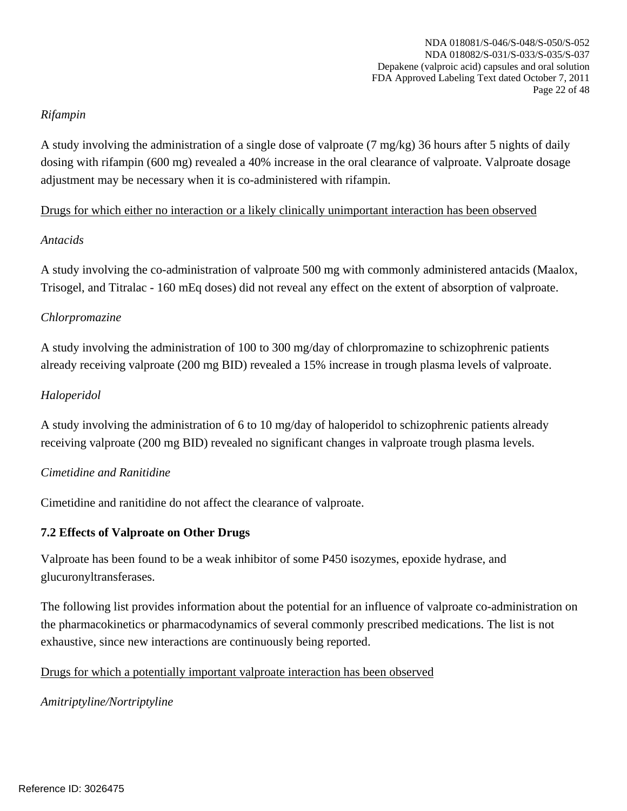## *Rifampin*

A study involving the administration of a single dose of valproate (7 mg/kg) 36 hours after 5 nights of daily dosing with rifampin (600 mg) revealed a 40% increase in the oral clearance of valproate. Valproate dosage adjustment may be necessary when it is co-administered with rifampin.

## Drugs for which either no interaction or a likely clinically unimportant interaction has been observed

## *Antacids*

A study involving the co-administration of valproate 500 mg with commonly administered antacids (Maalox, Trisogel, and Titralac - 160 mEq doses) did not reveal any effect on the extent of absorption of valproate.

## *Chlorpromazine*

A study involving the administration of 100 to 300 mg/day of chlorpromazine to schizophrenic patients already receiving valproate (200 mg BID) revealed a 15% increase in trough plasma levels of valproate.

## *Haloperidol*

A study involving the administration of 6 to 10 mg/day of haloperidol to schizophrenic patients already receiving valproate (200 mg BID) revealed no significant changes in valproate trough plasma levels.

## *Cimetidine and Ranitidine*

Cimetidine and ranitidine do not affect the clearance of valproate.

## **7.2 Effects of Valproate on Other Drugs**

Valproate has been found to be a weak inhibitor of some P450 isozymes, epoxide hydrase, and glucuronyltransferases.

The following list provides information about the potential for an influence of valproate co-administration on the pharmacokinetics or pharmacodynamics of several commonly prescribed medications. The list is not exhaustive, since new interactions are continuously being reported.

## Drugs for which a potentially important valproate interaction has been observed

*Amitriptyline/Nortriptyline*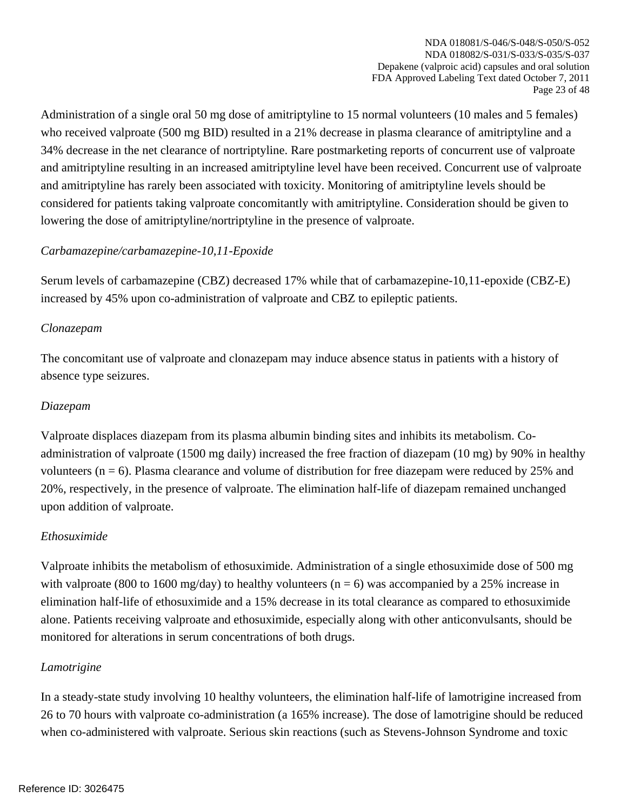Administration of a single oral 50 mg dose of amitriptyline to 15 normal volunteers (10 males and 5 females) who received valproate (500 mg BID) resulted in a 21% decrease in plasma clearance of amitriptyline and a 34% decrease in the net clearance of nortriptyline. Rare postmarketing reports of concurrent use of valproate and amitriptyline resulting in an increased amitriptyline level have been received. Concurrent use of valproate and amitriptyline has rarely been associated with toxicity. Monitoring of amitriptyline levels should be considered for patients taking valproate concomitantly with amitriptyline. Consideration should be given to lowering the dose of amitriptyline/nortriptyline in the presence of valproate.

# *Carbamazepine/carbamazepine-10,11-Epoxide*

Serum levels of carbamazepine (CBZ) decreased 17% while that of carbamazepine-10,11-epoxide (CBZ-E) increased by 45% upon co-administration of valproate and CBZ to epileptic patients.

## *Clonazepam*

The concomitant use of valproate and clonazepam may induce absence status in patients with a history of absence type seizures.

## *Diazepam*

Valproate displaces diazepam from its plasma albumin binding sites and inhibits its metabolism. Coadministration of valproate (1500 mg daily) increased the free fraction of diazepam (10 mg) by 90% in healthy volunteers ( $n = 6$ ). Plasma clearance and volume of distribution for free diazepam were reduced by 25% and 20%, respectively, in the presence of valproate. The elimination half-life of diazepam remained unchanged upon addition of valproate.

# *Ethosuximide*

Valproate inhibits the metabolism of ethosuximide. Administration of a single ethosuximide dose of 500 mg with valproate (800 to 1600 mg/day) to healthy volunteers ( $n = 6$ ) was accompanied by a 25% increase in elimination half-life of ethosuximide and a 15% decrease in its total clearance as compared to ethosuximide alone. Patients receiving valproate and ethosuximide, especially along with other anticonvulsants, should be monitored for alterations in serum concentrations of both drugs.

## *Lamotrigine*

In a steady-state study involving 10 healthy volunteers, the elimination half-life of lamotrigine increased from 26 to 70 hours with valproate co-administration (a 165% increase). The dose of lamotrigine should be reduced when co-administered with valproate. Serious skin reactions (such as Stevens-Johnson Syndrome and toxic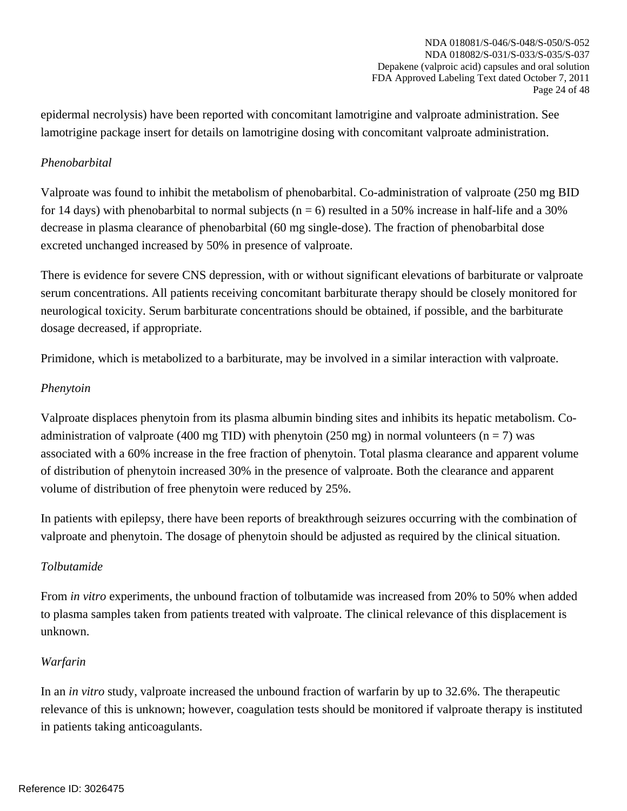epidermal necrolysis) have been reported with concomitant lamotrigine and valproate administration. See lamotrigine package insert for details on lamotrigine dosing with concomitant valproate administration.

## *Phenobarbital*

Valproate was found to inhibit the metabolism of phenobarbital. Co-administration of valproate (250 mg BID for 14 days) with phenobarbital to normal subjects ( $n = 6$ ) resulted in a 50% increase in half-life and a 30% decrease in plasma clearance of phenobarbital (60 mg single-dose). The fraction of phenobarbital dose excreted unchanged increased by 50% in presence of valproate.

There is evidence for severe CNS depression, with or without significant elevations of barbiturate or valproate serum concentrations. All patients receiving concomitant barbiturate therapy should be closely monitored for neurological toxicity. Serum barbiturate concentrations should be obtained, if possible, and the barbiturate dosage decreased, if appropriate.

Primidone, which is metabolized to a barbiturate, may be involved in a similar interaction with valproate.

## *Phenytoin*

Valproate displaces phenytoin from its plasma albumin binding sites and inhibits its hepatic metabolism. Coadministration of valproate (400 mg TID) with phenytoin (250 mg) in normal volunteers ( $n = 7$ ) was associated with a 60% increase in the free fraction of phenytoin. Total plasma clearance and apparent volume of distribution of phenytoin increased 30% in the presence of valproate. Both the clearance and apparent volume of distribution of free phenytoin were reduced by 25%.

In patients with epilepsy, there have been reports of breakthrough seizures occurring with the combination of valproate and phenytoin. The dosage of phenytoin should be adjusted as required by the clinical situation.

## *Tolbutamide*

From *in vitro* experiments, the unbound fraction of tolbutamide was increased from 20% to 50% when added to plasma samples taken from patients treated with valproate. The clinical relevance of this displacement is unknown.

# *Warfarin*

In an *in vitro* study, valproate increased the unbound fraction of warfarin by up to 32.6%. The therapeutic relevance of this is unknown; however, coagulation tests should be monitored if valproate therapy is instituted in patients taking anticoagulants.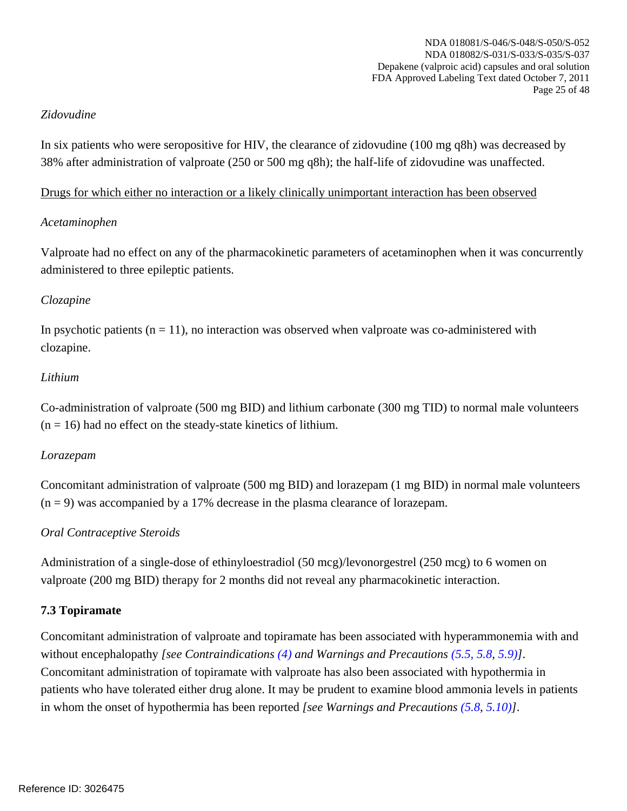## *Zidovudine*

In six patients who were seropositive for HIV, the clearance of zidovudine (100 mg q8h) was decreased by 38% after administration of valproate (250 or 500 mg q8h); the half-life of zidovudine was unaffected.

Drugs for which either no interaction or a likely clinically unimportant interaction has been observed

## *Acetaminophen*

Valproate had no effect on any of the pharmacokinetic parameters of acetaminophen when it was concurrently administered to three epileptic patients.

### *Clozapine*

In psychotic patients  $(n = 11)$ , no interaction was observed when valproate was co-administered with clozapine.

### *Lithium*

 $(n = 16)$  had no effect on the steady-state kinetics of lithium. Co-administration of valproate (500 mg BID) and lithium carbonate (300 mg TID) to normal male volunteers

## *Lorazepam*

Concomitant administration of valproate (500 mg BID) and lorazepam (1 mg BID) in normal male volunteers  $(n = 9)$  was accompanied by a 17% decrease in the plasma clearance of lorazepam.

## *Oral Contraceptive Steroids*

Administration of a single-dose of ethinyloestradiol (50 mcg)/levonorgestrel (250 mcg) to 6 women on valproate (200 mg BID) therapy for 2 months did not reveal any pharmacokinetic interaction.

#### **7.3 Topiramate**

Concomitant administration of valproate and topiramate has been associated with hyperammonemia with and without encephalopathy *[see Contraindications (4) and Warnings and Precautions (5.5, 5.8, 5.9)]*. Concomitant administration of topiramate with valproate has also been associated with hypothermia in patients who have tolerated either drug alone. It may be prudent to examine blood ammonia levels in patients in whom the onset of hypothermia has been reported *[see Warnings and Precautions (5.8, 5.10)]*.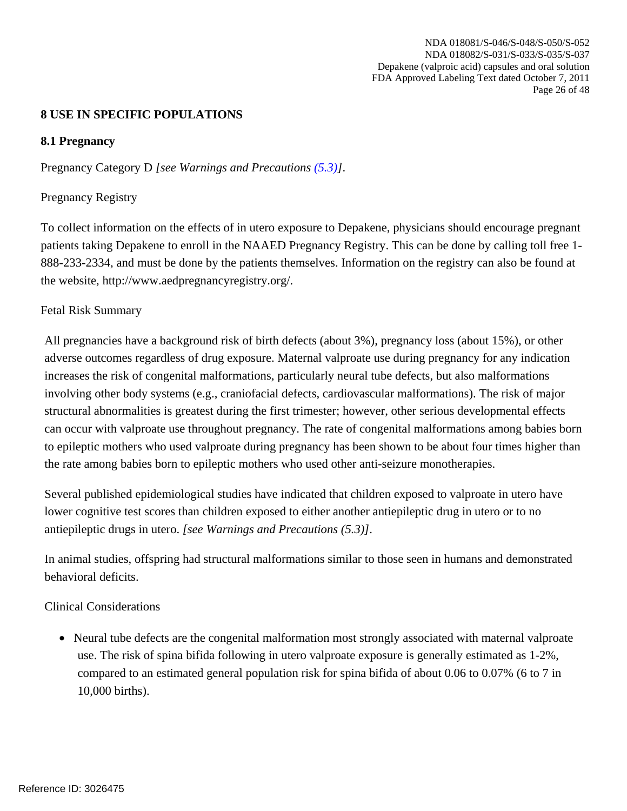## **8 USE IN SPECIFIC POPULATIONS**

#### **8.1 Pregnancy**

Pregnancy Category D *[see Warnings and Precautions (5.3)]*.

### Pregnancy Registry

To collect information on the effects of in utero exposure to Depakene, physicians should encourage pregnant patients taking Depakene to enroll in the NAAED Pregnancy Registry. This can be done by calling toll free 1 888-233-2334, and must be done by the patients themselves. Information on the registry can also be found at the website, http://www.aedpregnancyregistry.org/.

### Fetal Risk Summary

All pregnancies have a background risk of birth defects (about 3%), pregnancy loss (about 15%), or other adverse outcomes regardless of drug exposure. Maternal valproate use during pregnancy for any indication increases the risk of congenital malformations, particularly neural tube defects, but also malformations involving other body systems (e.g., craniofacial defects, cardiovascular malformations). The risk of major structural abnormalities is greatest during the first trimester; however, other serious developmental effects can occur with valproate use throughout pregnancy. The rate of congenital malformations among babies born to epileptic mothers who used valproate during pregnancy has been shown to be about four times higher than the rate among babies born to epileptic mothers who used other anti-seizure monotherapies.

Several published epidemiological studies have indicated that children exposed to valproate in utero have lower cognitive test scores than children exposed to either another antiepileptic drug in utero or to no antiepileptic drugs in utero. *[see Warnings and Precautions (5.3)]*.

In animal studies, offspring had structural malformations similar to those seen in humans and demonstrated behavioral deficits.

#### Clinical Considerations

• Neural tube defects are the congenital malformation most strongly associated with maternal valproate use. The risk of spina bifida following in utero valproate exposure is generally estimated as 1-2%, compared to an estimated general population risk for spina bifida of about 0.06 to 0.07% (6 to 7 in 10,000 births).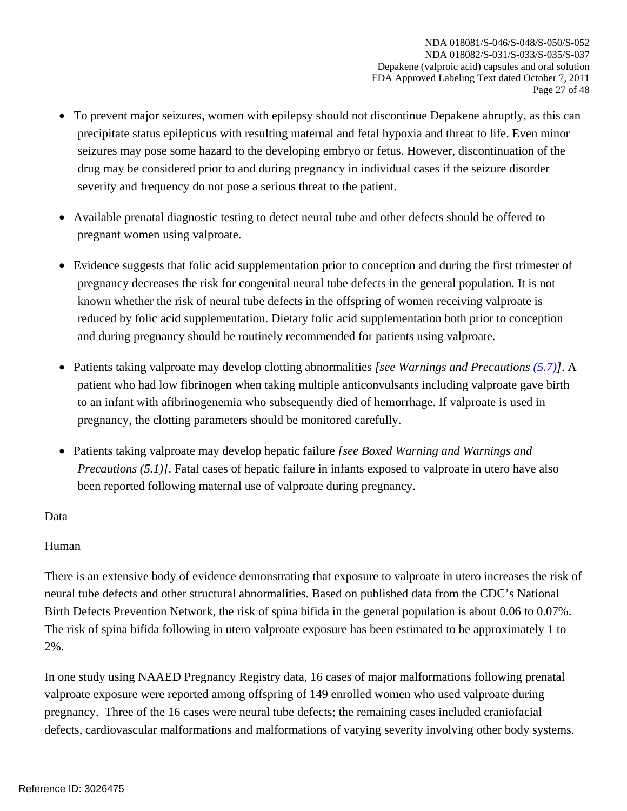- To prevent major seizures, women with epilepsy should not discontinue Depakene abruptly, as this can precipitate status epilepticus with resulting maternal and fetal hypoxia and threat to life. Even minor seizures may pose some hazard to the developing embryo or fetus. However, discontinuation of the drug may be considered prior to and during pregnancy in individual cases if the seizure disorder severity and frequency do not pose a serious threat to the patient.
- Available prenatal diagnostic testing to detect neural tube and other defects should be offered to pregnant women using valproate.
- Evidence suggests that folic acid supplementation prior to conception and during the first trimester of pregnancy decreases the risk for congenital neural tube defects in the general population. It is not known whether the risk of neural tube defects in the offspring of women receiving valproate is reduced by folic acid supplementation. Dietary folic acid supplementation both prior to conception and during pregnancy should be routinely recommended for patients using valproate.
- Patients taking valproate may develop clotting abnormalities *[see Warnings and Precautions (5.7)]*. A patient who had low fibrinogen when taking multiple anticonvulsants including valproate gave birth to an infant with afibrinogenemia who subsequently died of hemorrhage. If valproate is used in pregnancy, the clotting parameters should be monitored carefully.
- • Patients taking valproate may develop hepatic failure *[see Boxed Warning and Warnings and Precautions (5.1)]*. Fatal cases of hepatic failure in infants exposed to valproate in utero have also been reported following maternal use of valproate during pregnancy.

Data

## Human

There is an extensive body of evidence demonstrating that exposure to valproate in utero increases the risk of neural tube defects and other structural abnormalities. Based on published data from the CDC's National Birth Defects Prevention Network, the risk of spina bifida in the general population is about 0.06 to 0.07%. The risk of spina bifida following in utero valproate exposure has been estimated to be approximately 1 to 2%.

In one study using NAAED Pregnancy Registry data, 16 cases of major malformations following prenatal valproate exposure were reported among offspring of 149 enrolled women who used valproate during pregnancy. Three of the 16 cases were neural tube defects; the remaining cases included craniofacial defects, cardiovascular malformations and malformations of varying severity involving other body systems.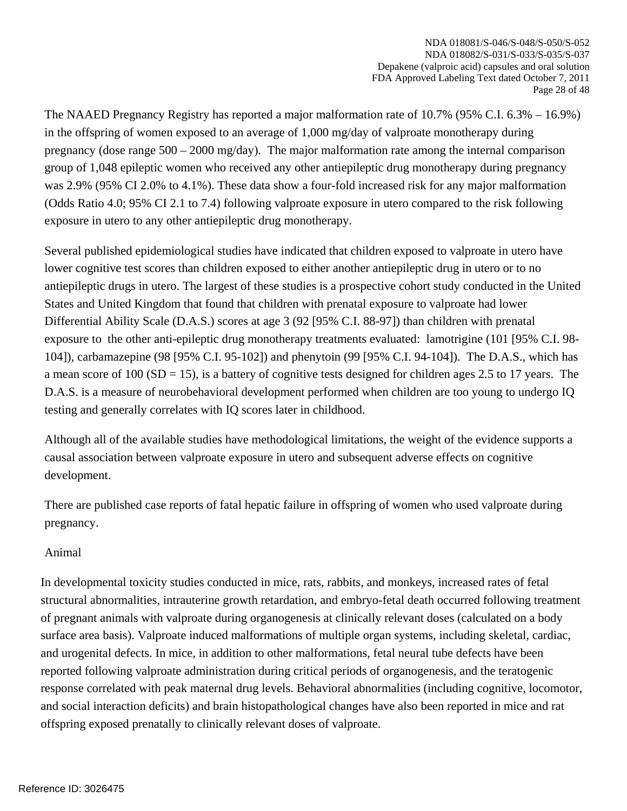The NAAED Pregnancy Registry has reported a major malformation rate of 10.7% (95% C.I. 6.3% – 16.9%) in the offspring of women exposed to an average of 1,000 mg/day of valproate monotherapy during pregnancy (dose range 500 – 2000 mg/day). The major malformation rate among the internal comparison group of 1,048 epileptic women who received any other antiepileptic drug monotherapy during pregnancy was 2.9% (95% CI 2.0% to 4.1%). These data show a four-fold increased risk for any major malformation (Odds Ratio 4.0; 95% CI 2.1 to 7.4) following valproate exposure in utero compared to the risk following exposure in utero to any other antiepileptic drug monotherapy.

Several published epidemiological studies have indicated that children exposed to valproate in utero have lower cognitive test scores than children exposed to either another antiepileptic drug in utero or to no antiepileptic drugs in utero. The largest of these studies is a prospective cohort study conducted in the United States and United Kingdom that found that children with prenatal exposure to valproate had lower Differential Ability Scale (D.A.S.) scores at age 3 (92 [95% C.I. 88-97]) than children with prenatal exposure to the other anti-epileptic drug monotherapy treatments evaluated: lamotrigine (101 [95% C.I. 98 104]), carbamazepine (98 [95% C.I. 95-102]) and phenytoin (99 [95% C.I. 94-104]). The D.A.S., which has a mean score of 100 (SD = 15), is a battery of cognitive tests designed for children ages 2.5 to 17 years. The D.A.S. is a measure of neurobehavioral development performed when children are too young to undergo IQ testing and generally correlates with IQ scores later in childhood.

Although all of the available studies have methodological limitations, the weight of the evidence supports a causal association between valproate exposure in utero and subsequent adverse effects on cognitive development.

There are published case reports of fatal hepatic failure in offspring of women who used valproate during pregnancy.

## Animal

In developmental toxicity studies conducted in mice, rats, rabbits, and monkeys, increased rates of fetal structural abnormalities, intrauterine growth retardation, and embryo-fetal death occurred following treatment of pregnant animals with valproate during organogenesis at clinically relevant doses (calculated on a body surface area basis). Valproate induced malformations of multiple organ systems, including skeletal, cardiac, and urogenital defects. In mice, in addition to other malformations, fetal neural tube defects have been reported following valproate administration during critical periods of organogenesis, and the teratogenic response correlated with peak maternal drug levels. Behavioral abnormalities (including cognitive, locomotor, and social interaction deficits) and brain histopathological changes have also been reported in mice and rat offspring exposed prenatally to clinically relevant doses of valproate.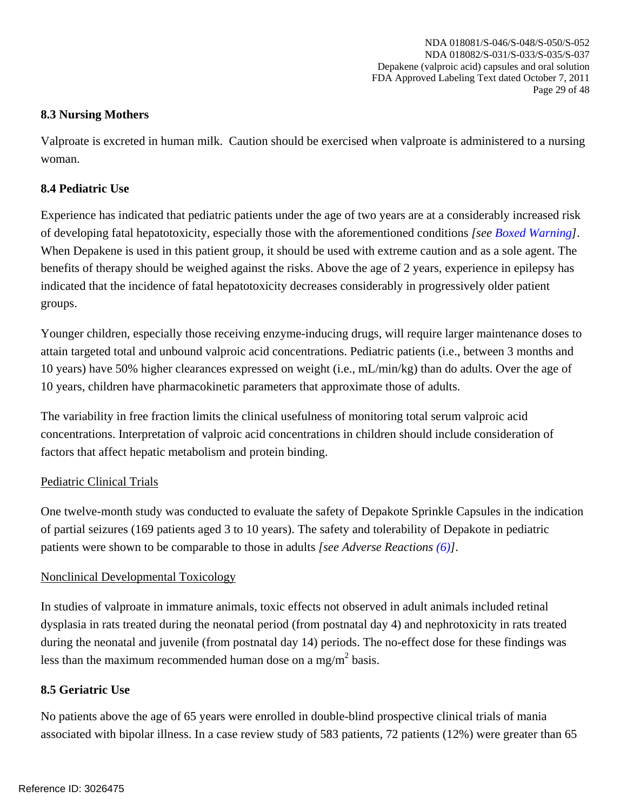Page 29 of 48 NDA 018081/S-046/S-048/S-050/S-052 NDA 018082/S-031/S-033/S-035/S-037 Depakene (valproic acid) capsules and oral solution FDA Approved Labeling Text dated October 7, 2011

### **8.3 Nursing Mothers**

Valproate is excreted in human milk. Caution should be exercised when valproate is administered to a nursing woman.

## **8.4 Pediatric Use**

Experience has indicated that pediatric patients under the age of two years are at a considerably increased risk of developing fatal hepatotoxicity, especially those with the aforementioned conditions *[see Boxed Warning]*. When Depakene is used in this patient group, it should be used with extreme caution and as a sole agent. The benefits of therapy should be weighed against the risks. Above the age of 2 years, experience in epilepsy has indicated that the incidence of fatal hepatotoxicity decreases considerably in progressively older patient groups.

Younger children, especially those receiving enzyme-inducing drugs, will require larger maintenance doses to attain targeted total and unbound valproic acid concentrations. Pediatric patients (i.e., between 3 months and 10 years) have 50% higher clearances expressed on weight (i.e., mL/min/kg) than do adults. Over the age of 10 years, children have pharmacokinetic parameters that approximate those of adults.

The variability in free fraction limits the clinical usefulness of monitoring total serum valproic acid concentrations. Interpretation of valproic acid concentrations in children should include consideration of factors that affect hepatic metabolism and protein binding.

## Pediatric Clinical Trials

One twelve-month study was conducted to evaluate the safety of Depakote Sprinkle Capsules in the indication of partial seizures (169 patients aged 3 to 10 years). The safety and tolerability of Depakote in pediatric patients were shown to be comparable to those in adults *[see Adverse Reactions (6)]*.

## Nonclinical Developmental Toxicology

In studies of valproate in immature animals, toxic effects not observed in adult animals included retinal dysplasia in rats treated during the neonatal period (from postnatal day 4) and nephrotoxicity in rats treated during the neonatal and juvenile (from postnatal day 14) periods. The no-effect dose for these findings was less than the maximum recommended human dose on a mg/m<sup>2</sup> basis.

## **8.5 Geriatric Use**

No patients above the age of 65 years were enrolled in double-blind prospective clinical trials of mania associated with bipolar illness. In a case review study of 583 patients, 72 patients (12%) were greater than 65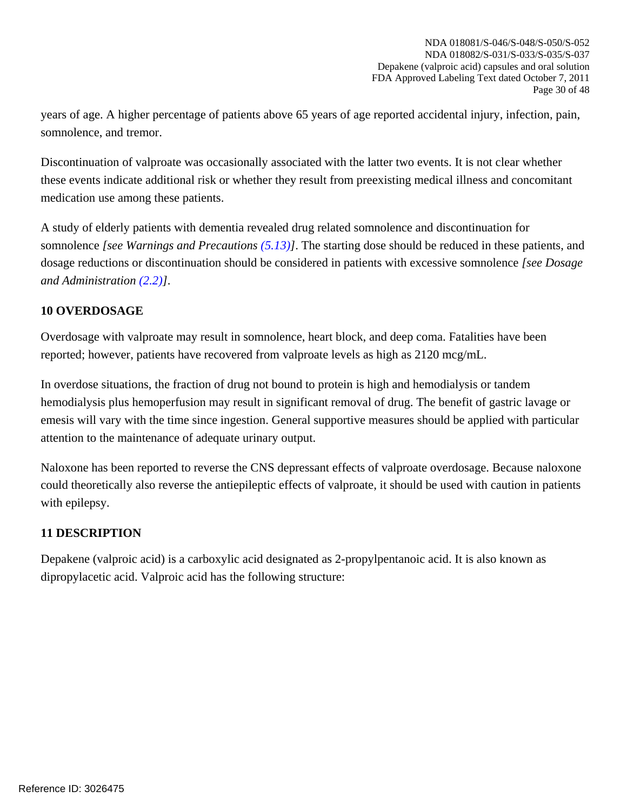years of age. A higher percentage of patients above 65 years of age reported accidental injury, infection, pain, somnolence, and tremor.

Discontinuation of valproate was occasionally associated with the latter two events. It is not clear whether these events indicate additional risk or whether they result from preexisting medical illness and concomitant medication use among these patients.

A study of elderly patients with dementia revealed drug related somnolence and discontinuation for somnolence *[see Warnings and Precautions (5.13)]*. The starting dose should be reduced in these patients, and dosage reductions or discontinuation should be considered in patients with excessive somnolence *[see Dosage and Administration (2.2)]*.

# **10 OVERDOSAGE**

Overdosage with valproate may result in somnolence, heart block, and deep coma. Fatalities have been reported; however, patients have recovered from valproate levels as high as 2120 mcg/mL.

In overdose situations, the fraction of drug not bound to protein is high and hemodialysis or tandem hemodialysis plus hemoperfusion may result in significant removal of drug. The benefit of gastric lavage or emesis will vary with the time since ingestion. General supportive measures should be applied with particular attention to the maintenance of adequate urinary output.

Naloxone has been reported to reverse the CNS depressant effects of valproate overdosage. Because naloxone could theoretically also reverse the antiepileptic effects of valproate, it should be used with caution in patients with epilepsy.

# **11 DESCRIPTION**

Depakene (valproic acid) is a carboxylic acid designated as 2-propylpentanoic acid. It is also known as dipropylacetic acid. Valproic acid has the following structure: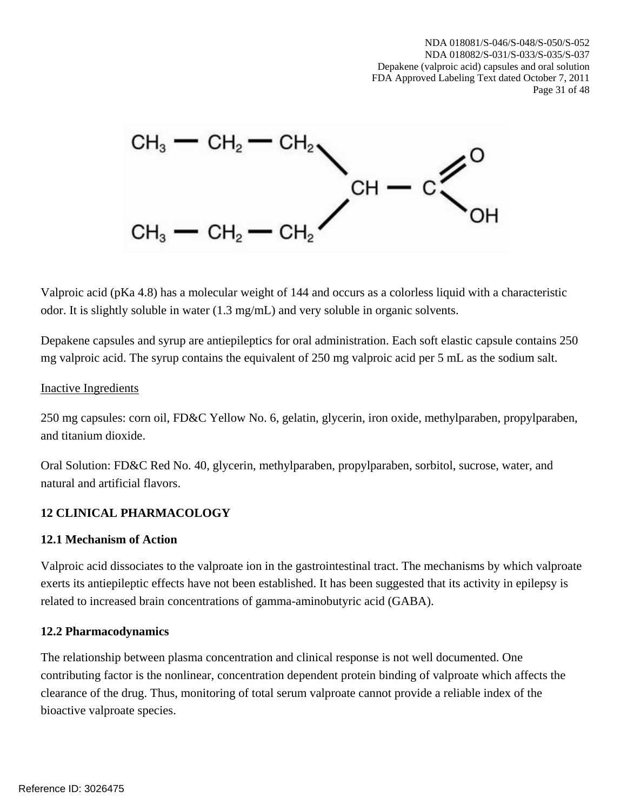Page 31 of 48 NDA 018081/S-046/S-048/S-050/S-052 NDA 018082/S-031/S-033/S-035/S-037 Depakene (valproic acid) capsules and oral solution FDA Approved Labeling Text dated October 7, 2011



Valproic acid (pKa 4.8) has a molecular weight of 144 and occurs as a colorless liquid with a characteristic odor. It is slightly soluble in water (1.3 mg/mL) and very soluble in organic solvents.

Depakene capsules and syrup are antiepileptics for oral administration. Each soft elastic capsule contains 250 mg valproic acid. The syrup contains the equivalent of 250 mg valproic acid per 5 mL as the sodium salt.

### Inactive Ingredients

250 mg capsules: corn oil, FD&C Yellow No. 6, gelatin, glycerin, iron oxide, methylparaben, propylparaben, and titanium dioxide.

Oral Solution: FD&C Red No. 40, glycerin, methylparaben, propylparaben, sorbitol, sucrose, water, and natural and artificial flavors.

# **12 CLINICAL PHARMACOLOGY**

#### **12.1 Mechanism of Action**

Valproic acid dissociates to the valproate ion in the gastrointestinal tract. The mechanisms by which valproate exerts its antiepileptic effects have not been established. It has been suggested that its activity in epilepsy is related to increased brain concentrations of gamma-aminobutyric acid (GABA).

## **12.2 Pharmacodynamics**

The relationship between plasma concentration and clinical response is not well documented. One contributing factor is the nonlinear, concentration dependent protein binding of valproate which affects the clearance of the drug. Thus, monitoring of total serum valproate cannot provide a reliable index of the bioactive valproate species.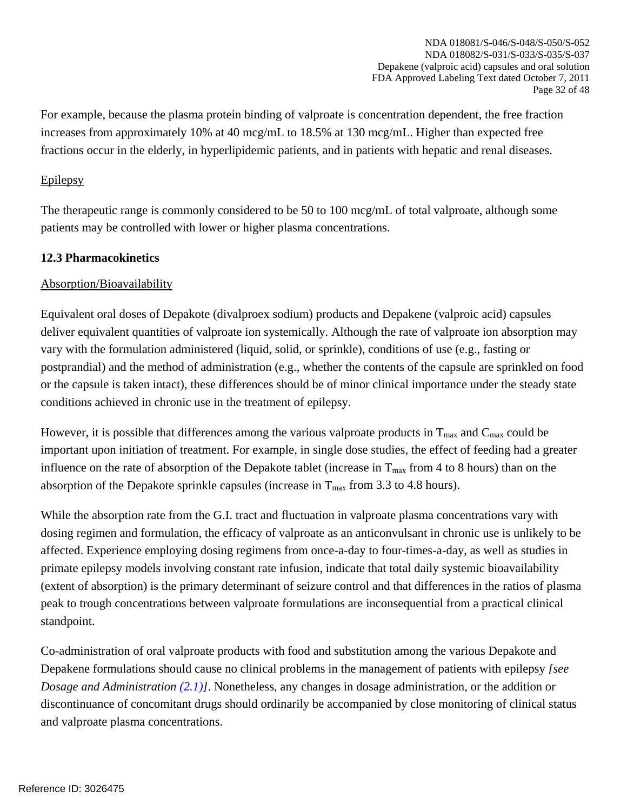For example, because the plasma protein binding of valproate is concentration dependent, the free fraction increases from approximately 10% at 40 mcg/mL to 18.5% at 130 mcg/mL. Higher than expected free fractions occur in the elderly, in hyperlipidemic patients, and in patients with hepatic and renal diseases.

# Epilepsy

The therapeutic range is commonly considered to be 50 to 100 mcg/mL of total valproate, although some patients may be controlled with lower or higher plasma concentrations.

## **12.3 Pharmacokinetics**

## Absorption/Bioavailability

Equivalent oral doses of Depakote (divalproex sodium) products and Depakene (valproic acid) capsules deliver equivalent quantities of valproate ion systemically. Although the rate of valproate ion absorption may vary with the formulation administered (liquid, solid, or sprinkle), conditions of use (e.g., fasting or postprandial) and the method of administration (e.g., whether the contents of the capsule are sprinkled on food or the capsule is taken intact), these differences should be of minor clinical importance under the steady state conditions achieved in chronic use in the treatment of epilepsy.

However, it is possible that differences among the various valproate products in  $T_{\text{max}}$  and  $C_{\text{max}}$  could be important upon initiation of treatment. For example, in single dose studies, the effect of feeding had a greater influence on the rate of absorption of the Depakote tablet (increase in  $T_{\text{max}}$  from 4 to 8 hours) than on the absorption of the Depakote sprinkle capsules (increase in  $T_{\text{max}}$  from 3.3 to 4.8 hours).

While the absorption rate from the G.I. tract and fluctuation in valproate plasma concentrations vary with dosing regimen and formulation, the efficacy of valproate as an anticonvulsant in chronic use is unlikely to be affected. Experience employing dosing regimens from once-a-day to four-times-a-day, as well as studies in primate epilepsy models involving constant rate infusion, indicate that total daily systemic bioavailability (extent of absorption) is the primary determinant of seizure control and that differences in the ratios of plasma peak to trough concentrations between valproate formulations are inconsequential from a practical clinical standpoint.

Co-administration of oral valproate products with food and substitution among the various Depakote and Depakene formulations should cause no clinical problems in the management of patients with epilepsy *[see Dosage and Administration (2.1)]*. Nonetheless, any changes in dosage administration, or the addition or discontinuance of concomitant drugs should ordinarily be accompanied by close monitoring of clinical status and valproate plasma concentrations.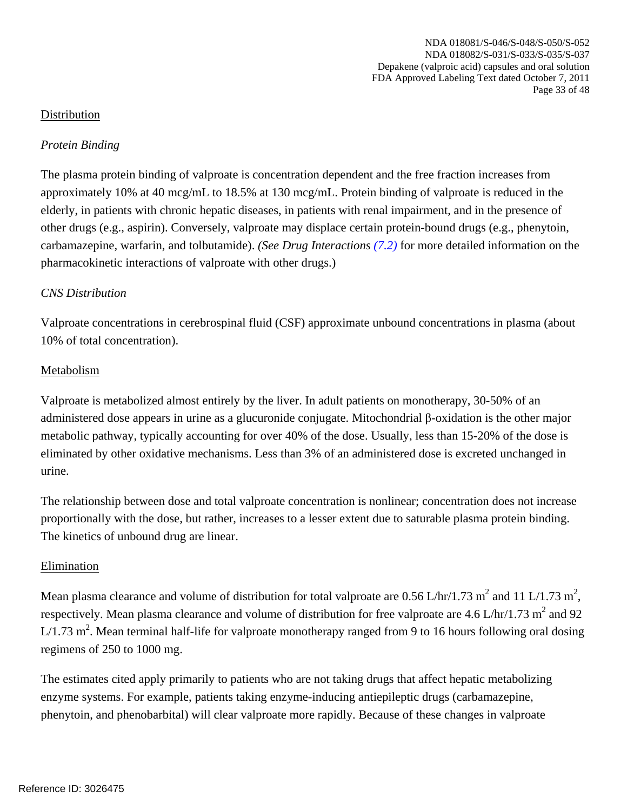#### Distribution

### *Protein Binding*

The plasma protein binding of valproate is concentration dependent and the free fraction increases from approximately 10% at 40 mcg/mL to 18.5% at 130 mcg/mL. Protein binding of valproate is reduced in the elderly, in patients with chronic hepatic diseases, in patients with renal impairment, and in the presence of other drugs (e.g., aspirin). Conversely, valproate may displace certain protein-bound drugs (e.g., phenytoin, carbamazepine, warfarin, and tolbutamide). *(See Drug Interactions (7.2)* for more detailed information on the pharmacokinetic interactions of valproate with other drugs.)

### *CNS Distribution*

Valproate concentrations in cerebrospinal fluid (CSF) approximate unbound concentrations in plasma (about 10% of total concentration).

### Metabolism

Valproate is metabolized almost entirely by the liver. In adult patients on monotherapy, 30-50% of an administered dose appears in urine as a glucuronide conjugate. Mitochondrial β-oxidation is the other major metabolic pathway, typically accounting for over 40% of the dose. Usually, less than 15-20% of the dose is eliminated by other oxidative mechanisms. Less than 3% of an administered dose is excreted unchanged in urine.

The relationship between dose and total valproate concentration is nonlinear; concentration does not increase proportionally with the dose, but rather, increases to a lesser extent due to saturable plasma protein binding. The kinetics of unbound drug are linear.

#### Elimination

Mean plasma clearance and volume of distribution for total valproate are 0.56 L/hr/1.73 m<sup>2</sup> and 11 L/1.73 m<sup>2</sup>, respectively. Mean plasma clearance and volume of distribution for free valproate are 4.6 L/hr/1.73 m<sup>2</sup> and 92  $L/1.73$  m<sup>2</sup>. Mean terminal half-life for valproate monotherapy ranged from 9 to 16 hours following oral dosing regimens of 250 to 1000 mg.

The estimates cited apply primarily to patients who are not taking drugs that affect hepatic metabolizing enzyme systems. For example, patients taking enzyme-inducing antiepileptic drugs (carbamazepine, phenytoin, and phenobarbital) will clear valproate more rapidly. Because of these changes in valproate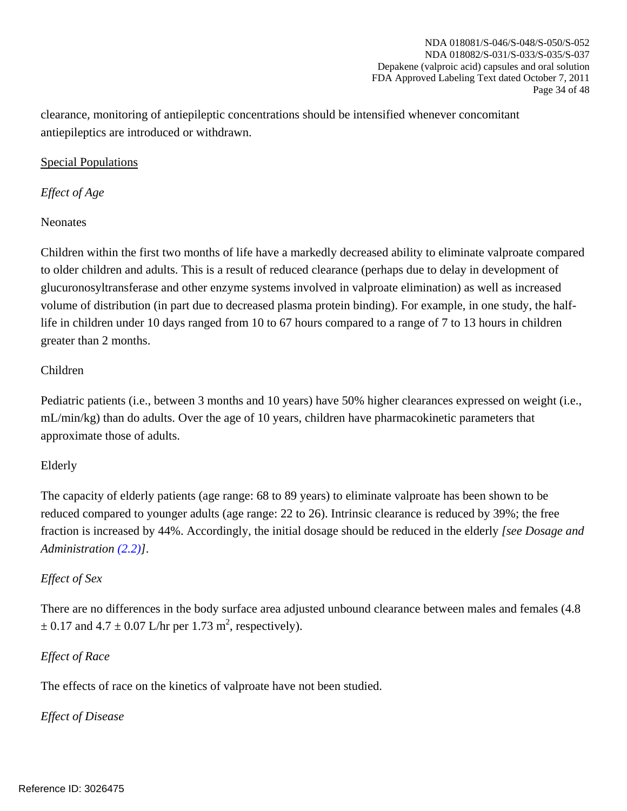clearance, monitoring of antiepileptic concentrations should be intensified whenever concomitant antiepileptics are introduced or withdrawn.

## Special Populations

*Effect of Age* 

## **Neonates**

Children within the first two months of life have a markedly decreased ability to eliminate valproate compared to older children and adults. This is a result of reduced clearance (perhaps due to delay in development of glucuronosyltransferase and other enzyme systems involved in valproate elimination) as well as increased volume of distribution (in part due to decreased plasma protein binding). For example, in one study, the halflife in children under 10 days ranged from 10 to 67 hours compared to a range of 7 to 13 hours in children greater than 2 months.

## Children

Pediatric patients (i.e., between 3 months and 10 years) have 50% higher clearances expressed on weight (i.e., mL/min/kg) than do adults. Over the age of 10 years, children have pharmacokinetic parameters that approximate those of adults.

# Elderly

The capacity of elderly patients (age range: 68 to 89 years) to eliminate valproate has been shown to be reduced compared to younger adults (age range: 22 to 26). Intrinsic clearance is reduced by 39%; the free fraction is increased by 44%. Accordingly, the initial dosage should be reduced in the elderly *[see Dosage and Administration (2.2)]*.

# *Effect of Sex*

There are no differences in the body surface area adjusted unbound clearance between males and females (4.8  $\pm$  0.17 and 4.7  $\pm$  0.07 L/hr per 1.73 m<sup>2</sup>, respectively).

# *Effect of Race*

The effects of race on the kinetics of valproate have not been studied.

# *Effect of Disease*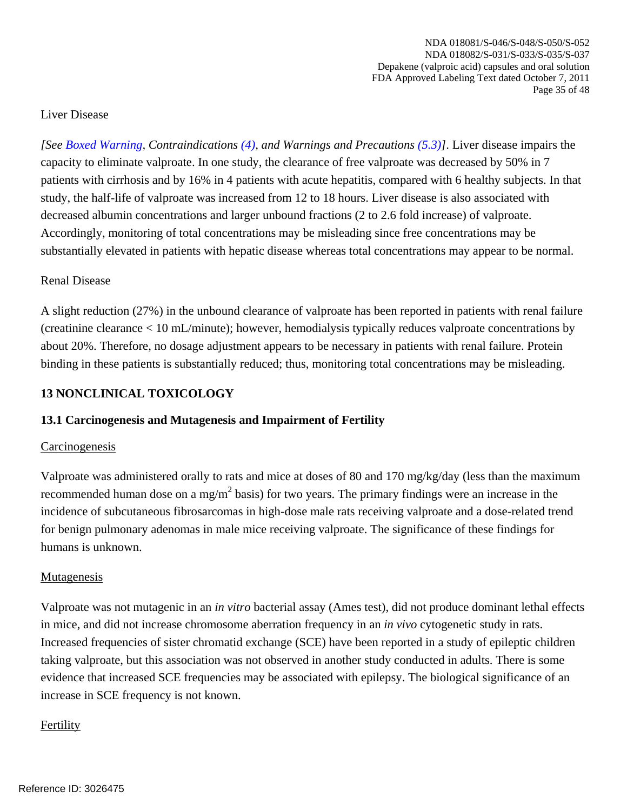#### Liver Disease

*[See Boxed Warning, Contraindications (4), and Warnings and Precautions (5.3)]*. Liver disease impairs the capacity to eliminate valproate. In one study, the clearance of free valproate was decreased by 50% in 7 patients with cirrhosis and by 16% in 4 patients with acute hepatitis, compared with 6 healthy subjects. In that study, the half-life of valproate was increased from 12 to 18 hours. Liver disease is also associated with decreased albumin concentrations and larger unbound fractions (2 to 2.6 fold increase) of valproate. Accordingly, monitoring of total concentrations may be misleading since free concentrations may be substantially elevated in patients with hepatic disease whereas total concentrations may appear to be normal.

### Renal Disease

A slight reduction (27%) in the unbound clearance of valproate has been reported in patients with renal failure (creatinine clearance < 10 mL/minute); however, hemodialysis typically reduces valproate concentrations by about 20%. Therefore, no dosage adjustment appears to be necessary in patients with renal failure. Protein binding in these patients is substantially reduced; thus, monitoring total concentrations may be misleading.

## **13 NONCLINICAL TOXICOLOGY**

## **13.1 Carcinogenesis and Mutagenesis and Impairment of Fertility**

#### **Carcinogenesis**

Valproate was administered orally to rats and mice at doses of 80 and 170 mg/kg/day (less than the maximum recommended human dose on a mg/m<sup>2</sup> basis) for two years. The primary findings were an increase in the incidence of subcutaneous fibrosarcomas in high-dose male rats receiving valproate and a dose-related trend for benign pulmonary adenomas in male mice receiving valproate. The significance of these findings for humans is unknown.

#### Mutagenesis

Valproate was not mutagenic in an *in vitro* bacterial assay (Ames test), did not produce dominant lethal effects in mice, and did not increase chromosome aberration frequency in an *in vivo* cytogenetic study in rats. Increased frequencies of sister chromatid exchange (SCE) have been reported in a study of epileptic children taking valproate, but this association was not observed in another study conducted in adults. There is some evidence that increased SCE frequencies may be associated with epilepsy. The biological significance of an increase in SCE frequency is not known.

## **Fertility**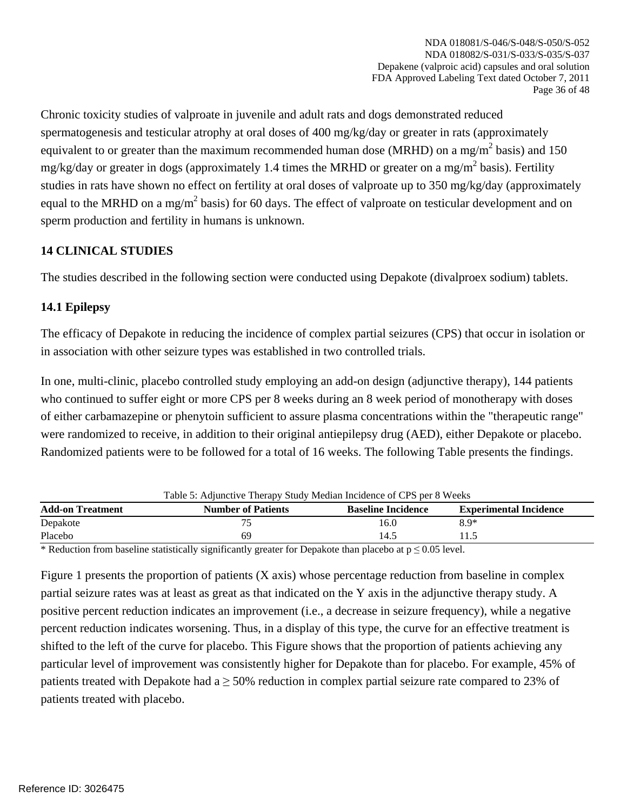Chronic toxicity studies of valproate in juvenile and adult rats and dogs demonstrated reduced spermatogenesis and testicular atrophy at oral doses of 400 mg/kg/day or greater in rats (approximately equivalent to or greater than the maximum recommended human dose (MRHD) on a mg/m<sup>2</sup> basis) and 150 mg/kg/day or greater in dogs (approximately 1.4 times the MRHD or greater on a mg/m<sup>2</sup> basis). Fertility studies in rats have shown no effect on fertility at oral doses of valproate up to 350 mg/kg/day (approximately equal to the MRHD on a mg/m<sup>2</sup> basis) for 60 days. The effect of valproate on testicular development and on sperm production and fertility in humans is unknown.

# **14 CLINICAL STUDIES**

The studies described in the following section were conducted using Depakote (divalproex sodium) tablets.

## **14.1 Epilepsy**

The efficacy of Depakote in reducing the incidence of complex partial seizures (CPS) that occur in isolation or in association with other seizure types was established in two controlled trials.

In one, multi-clinic, placebo controlled study employing an add-on design (adjunctive therapy), 144 patients who continued to suffer eight or more CPS per 8 weeks during an 8 week period of monotherapy with doses of either carbamazepine or phenytoin sufficient to assure plasma concentrations within the "therapeutic range" were randomized to receive, in addition to their original antiepilepsy drug (AED), either Depakote or placebo. Randomized patients were to be followed for a total of 16 weeks. The following Table presents the findings.

| Table 5: Adjunctive Therapy Study Median Incidence of CPS per 8 Weeks |                           |                           |                               |
|-----------------------------------------------------------------------|---------------------------|---------------------------|-------------------------------|
| <b>Add-on Treatment</b>                                               | <b>Number of Patients</b> | <b>Baseline Incidence</b> | <b>Experimental Incidence</b> |
| Depakote                                                              |                           | 16.0                      | $8Q*$                         |
| Placebo                                                               | 69                        | 14.5                      |                               |

\* Reduction from baseline statistically significantly greater for Depakote than placebo at  $p \le 0.05$  level.

Figure 1 presents the proportion of patients (X axis) whose percentage reduction from baseline in complex partial seizure rates was at least as great as that indicated on the Y axis in the adjunctive therapy study. A positive percent reduction indicates an improvement (i.e., a decrease in seizure frequency), while a negative percent reduction indicates worsening. Thus, in a display of this type, the curve for an effective treatment is shifted to the left of the curve for placebo. This Figure shows that the proportion of patients achieving any particular level of improvement was consistently higher for Depakote than for placebo. For example, 45% of patients treated with Depakote had a  $\geq$  50% reduction in complex partial seizure rate compared to 23% of patients treated with placebo.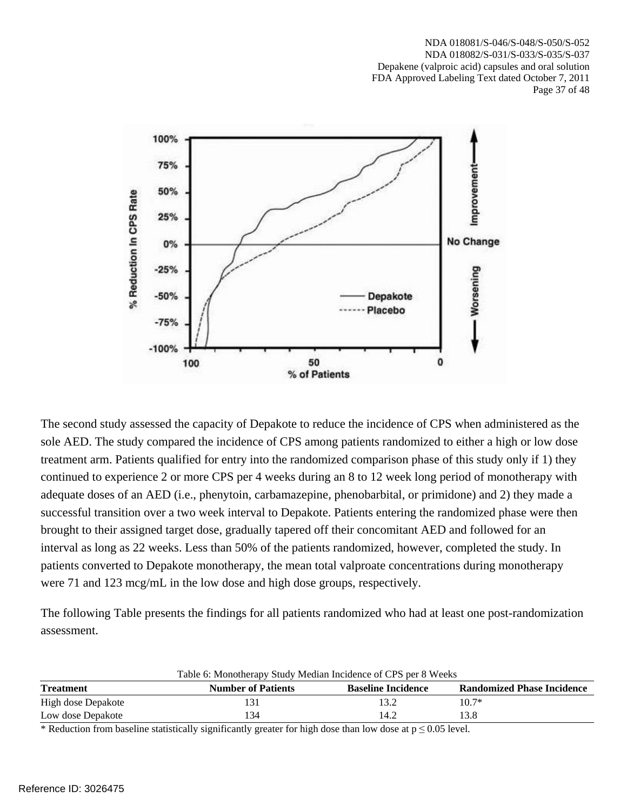Page 37 of 48 NDA 018081/S-046/S-048/S-050/S-052 NDA 018082/S-031/S-033/S-035/S-037 Depakene (valproic acid) capsules and oral solution FDA Approved Labeling Text dated October 7, 2011



The second study assessed the capacity of Depakote to reduce the incidence of CPS when administered as the sole AED. The study compared the incidence of CPS among patients randomized to either a high or low dose treatment arm. Patients qualified for entry into the randomized comparison phase of this study only if 1) they continued to experience 2 or more CPS per 4 weeks during an 8 to 12 week long period of monotherapy with adequate doses of an AED (i.e., phenytoin, carbamazepine, phenobarbital, or primidone) and 2) they made a successful transition over a two week interval to Depakote. Patients entering the randomized phase were then brought to their assigned target dose, gradually tapered off their concomitant AED and followed for an interval as long as 22 weeks. Less than 50% of the patients randomized, however, completed the study. In patients converted to Depakote monotherapy, the mean total valproate concentrations during monotherapy were 71 and 123 mcg/mL in the low dose and high dose groups, respectively.

The following Table presents the findings for all patients randomized who had at least one post-randomization assessment.

| Table 6: Monotherapy Study Median Incidence of CPS per 8 Weeks |                           |                           |                                   |  |
|----------------------------------------------------------------|---------------------------|---------------------------|-----------------------------------|--|
| <b>Treatment</b>                                               | <b>Number of Patients</b> | <b>Baseline Incidence</b> | <b>Randomized Phase Incidence</b> |  |
| High dose Depakote                                             |                           |                           | $10.7*$                           |  |
| Low dose Depakote                                              | 134                       | 14.2                      | l 3.8                             |  |

\* Reduction from baseline statistically significantly greater for high dose than low dose at  $p \le 0.05$  level.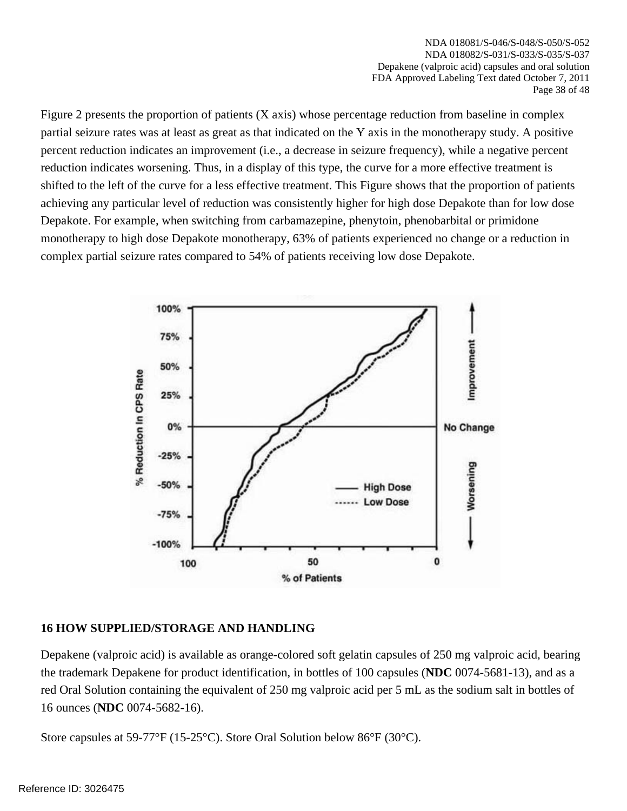Figure 2 presents the proportion of patients (X axis) whose percentage reduction from baseline in complex partial seizure rates was at least as great as that indicated on the Y axis in the monotherapy study. A positive percent reduction indicates an improvement (i.e., a decrease in seizure frequency), while a negative percent reduction indicates worsening. Thus, in a display of this type, the curve for a more effective treatment is shifted to the left of the curve for a less effective treatment. This Figure shows that the proportion of patients achieving any particular level of reduction was consistently higher for high dose Depakote than for low dose Depakote. For example, when switching from carbamazepine, phenytoin, phenobarbital or primidone monotherapy to high dose Depakote monotherapy, 63% of patients experienced no change or a reduction in complex partial seizure rates compared to 54% of patients receiving low dose Depakote.



## **16 HOW SUPPLIED/STORAGE AND HANDLING**

Depakene (valproic acid) is available as orange-colored soft gelatin capsules of 250 mg valproic acid, bearing the trademark Depakene for product identification, in bottles of 100 capsules (**NDC** 0074-5681-13), and as a red Oral Solution containing the equivalent of 250 mg valproic acid per 5 mL as the sodium salt in bottles of 16 ounces (**NDC** 0074-5682-16).

Store capsules at 59-77°F (15-25°C). Store Oral Solution below 86°F (30°C).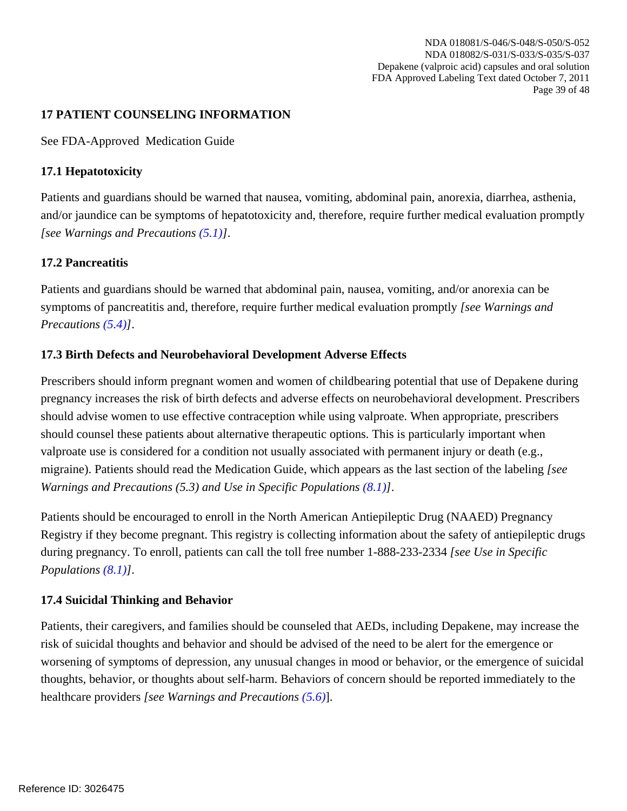## **17 PATIENT COUNSELING INFORMATION**

See FDA-Approved Medication Guide

### **17.1 Hepatotoxicity**

Patients and guardians should be warned that nausea, vomiting, abdominal pain, anorexia, diarrhea, asthenia, and/or jaundice can be symptoms of hepatotoxicity and, therefore, require further medical evaluation promptly *[see Warnings and Precautions (5.1)]*.

### **17.2 Pancreatitis**

Patients and guardians should be warned that abdominal pain, nausea, vomiting, and/or anorexia can be symptoms of pancreatitis and, therefore, require further medical evaluation promptly *[see Warnings and Precautions (5.4)]*.

### **17.3 Birth Defects and Neurobehavioral Development Adverse Effects**

Prescribers should inform pregnant women and women of childbearing potential that use of Depakene during pregnancy increases the risk of birth defects and adverse effects on neurobehavioral development. Prescribers should advise women to use effective contraception while using valproate. When appropriate, prescribers should counsel these patients about alternative therapeutic options. This is particularly important when valproate use is considered for a condition not usually associated with permanent injury or death (e.g., migraine). Patients should read the Medication Guide, which appears as the last section of the labeling *[see Warnings and Precautions (5.3) and Use in Specific Populations (8.1)]*.

Patients should be encouraged to enroll in the North American Antiepileptic Drug (NAAED) Pregnancy Registry if they become pregnant. This registry is collecting information about the safety of antiepileptic drugs during pregnancy. To enroll, patients can call the toll free number 1-888-233-2334 *[see Use in Specific Populations (8.1)]*.

## **17.4 Suicidal Thinking and Behavior**

Patients, their caregivers, and families should be counseled that AEDs, including Depakene, may increase the risk of suicidal thoughts and behavior and should be advised of the need to be alert for the emergence or worsening of symptoms of depression, any unusual changes in mood or behavior, or the emergence of suicidal thoughts, behavior, or thoughts about self-harm. Behaviors of concern should be reported immediately to the healthcare providers *[see Warnings and Precautions (5.6)*].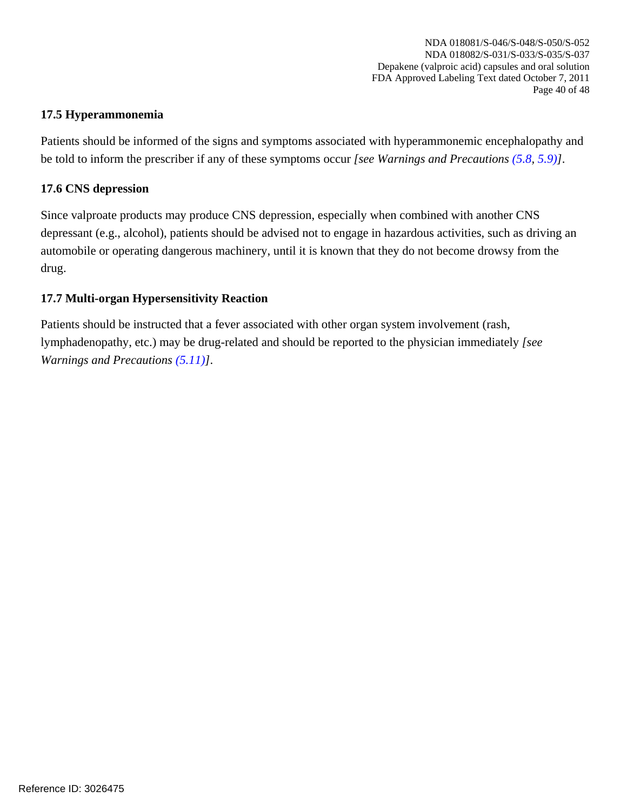Page 40 of 48 NDA 018081/S-046/S-048/S-050/S-052 NDA 018082/S-031/S-033/S-035/S-037 Depakene (valproic acid) capsules and oral solution FDA Approved Labeling Text dated October 7, 2011

### **17.5 Hyperammonemia**

Patients should be informed of the signs and symptoms associated with hyperammonemic encephalopathy and be told to inform the prescriber if any of these symptoms occur *[see Warnings and Precautions (5.8, 5.9)]*.

## **17.6 CNS depression**

Since valproate products may produce CNS depression, especially when combined with another CNS depressant (e.g., alcohol), patients should be advised not to engage in hazardous activities, such as driving an automobile or operating dangerous machinery, until it is known that they do not become drowsy from the drug.

## **17.7 Multi-organ Hypersensitivity Reaction**

Patients should be instructed that a fever associated with other organ system involvement (rash, lymphadenopathy, etc.) may be drug-related and should be reported to the physician immediately *[see Warnings and Precautions (5.11)]*.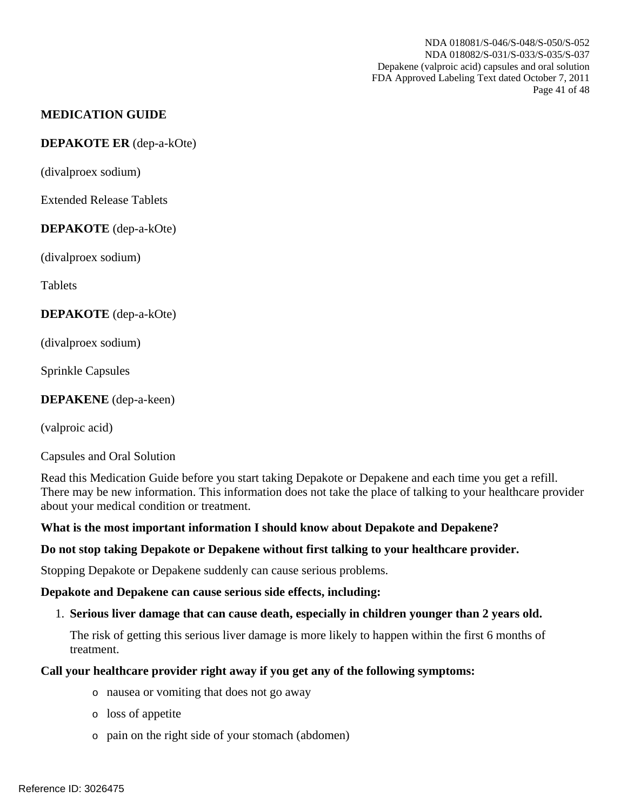## **MEDICATION GUIDE**

## **DEPAKOTE ER** (dep-a-kOte)

(divalproex sodium)

Extended Release Tablets

## **DEPAKOTE** (dep-a-kOte)

(divalproex sodium)

Tablets

### **DEPAKOTE** (dep-a-kOte)

(divalproex sodium)

Sprinkle Capsules

#### **DEPAKENE** (dep-a-keen)

(valproic acid)

#### Capsules and Oral Solution

Read this Medication Guide before you start taking Depakote or Depakene and each time you get a refill. There may be new information. This information does not take the place of talking to your healthcare provider about your medical condition or treatment.

#### **What is the most important information I should know about Depakote and Depakene?**

#### **Do not stop taking Depakote or Depakene without first talking to your healthcare provider.**

Stopping Depakote or Depakene suddenly can cause serious problems.

#### **Depakote and Depakene can cause serious side effects, including:**

#### 1. **Serious liver damage that can cause death, especially in children younger than 2 years old.**

The risk of getting this serious liver damage is more likely to happen within the first 6 months of treatment.

#### **Call your healthcare provider right away if you get any of the following symptoms:**

- o nausea or vomiting that does not go away
- o loss of appetite
- o pain on the right side of your stomach (abdomen)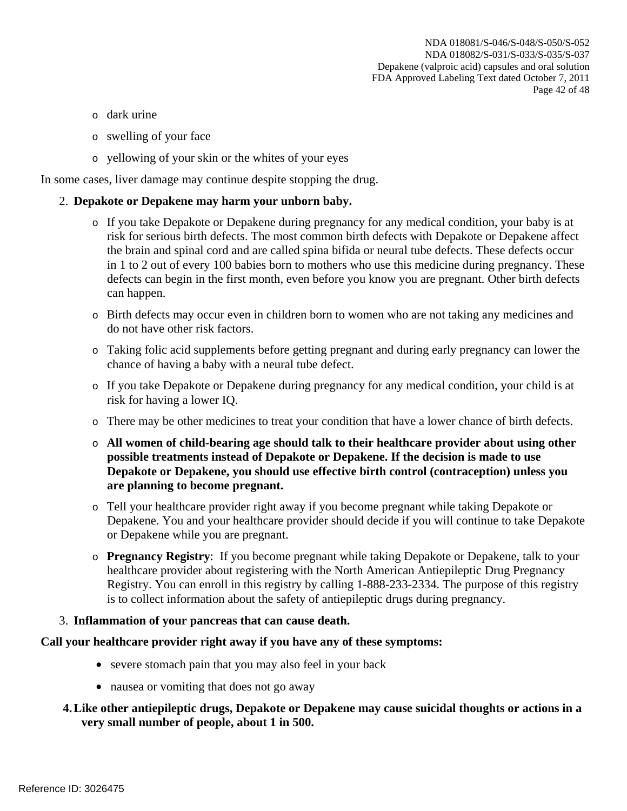- $\circ$  dark urine
- o swelling of your face
- o yellowing of your skin or the whites of your eyes

In some cases, liver damage may continue despite stopping the drug.

### 2. **Depakote or Depakene may harm your unborn baby.**

- o If you take Depakote or Depakene during pregnancy for any medical condition, your baby is at risk for serious birth defects. The most common birth defects with Depakote or Depakene affect the brain and spinal cord and are called spina bifida or neural tube defects. These defects occur in 1 to 2 out of every 100 babies born to mothers who use this medicine during pregnancy. These defects can begin in the first month, even before you know you are pregnant. Other birth defects can happen.
- o Birth defects may occur even in children born to women who are not taking any medicines and do not have other risk factors.
- o Taking folic acid supplements before getting pregnant and during early pregnancy can lower the chance of having a baby with a neural tube defect.
- $\circ$  If you take Depakote or Depakene during pregnancy for any medical condition, your child is at risk for having a lower IQ.
- o There may be other medicines to treat your condition that have a lower chance of birth defects.
- o **All women of child-bearing age should talk to their healthcare provider about using other possible treatments instead of Depakote or Depakene. If the decision is made to use Depakote or Depakene, you should use effective birth control (contraception) unless you are planning to become pregnant.**
- o Tell your healthcare provider right away if you become pregnant while taking Depakote or Depakene. You and your healthcare provider should decide if you will continue to take Depakote or Depakene while you are pregnant.
- o **Pregnancy Registry**: If you become pregnant while taking Depakote or Depakene, talk to your healthcare provider about registering with the North American Antiepileptic Drug Pregnancy Registry. You can enroll in this registry by calling 1-888-233-2334. The purpose of this registry is to collect information about the safety of antiepileptic drugs during pregnancy.
- 3. **Inflammation of your pancreas that can cause death.**

## **Call your healthcare provider right away if you have any of these symptoms:**

- severe stomach pain that you may also feel in your back
- nausea or vomiting that does not go away

## **4. Like other antiepileptic drugs, Depakote or Depakene may cause suicidal thoughts or actions in a very small number of people, about 1 in 500.**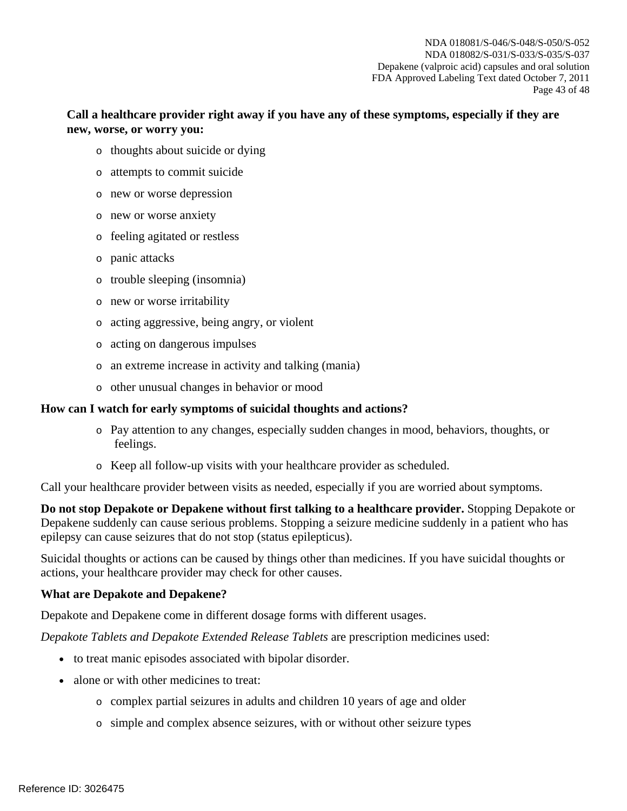## **Call a healthcare provider right away if you have any of these symptoms, especially if they are new, worse, or worry you:**

- o thoughts about suicide or dying
- o attempts to commit suicide
- o new or worse depression
- o new or worse anxiety
- o feeling agitated or restless
- o panic attacks
- o trouble sleeping (insomnia)
- o new or worse irritability
- o acting aggressive, being angry, or violent
- o acting on dangerous impulses
- o an extreme increase in activity and talking (mania)
- o other unusual changes in behavior or mood

#### **How can I watch for early symptoms of suicidal thoughts and actions?**

- o Pay attention to any changes, especially sudden changes in mood, behaviors, thoughts, or feelings.
- o Keep all follow-up visits with your healthcare provider as scheduled.

Call your healthcare provider between visits as needed, especially if you are worried about symptoms.

epilepsy can cause seizures that do not stop (status epilepticus). **Do not stop Depakote or Depakene without first talking to a healthcare provider.** Stopping Depakote or Depakene suddenly can cause serious problems. Stopping a seizure medicine suddenly in a patient who has

Suicidal thoughts or actions can be caused by things other than medicines. If you have suicidal thoughts or actions, your healthcare provider may check for other causes.

## **What are Depakote and Depakene?**

Depakote and Depakene come in different dosage forms with different usages.

*Depakote Tablets and Depakote Extended Release Tablets* are prescription medicines used:

- to treat manic episodes associated with bipolar disorder.
- alone or with other medicines to treat:
	- o complex partial seizures in adults and children 10 years of age and older
	- o simple and complex absence seizures, with or without other seizure types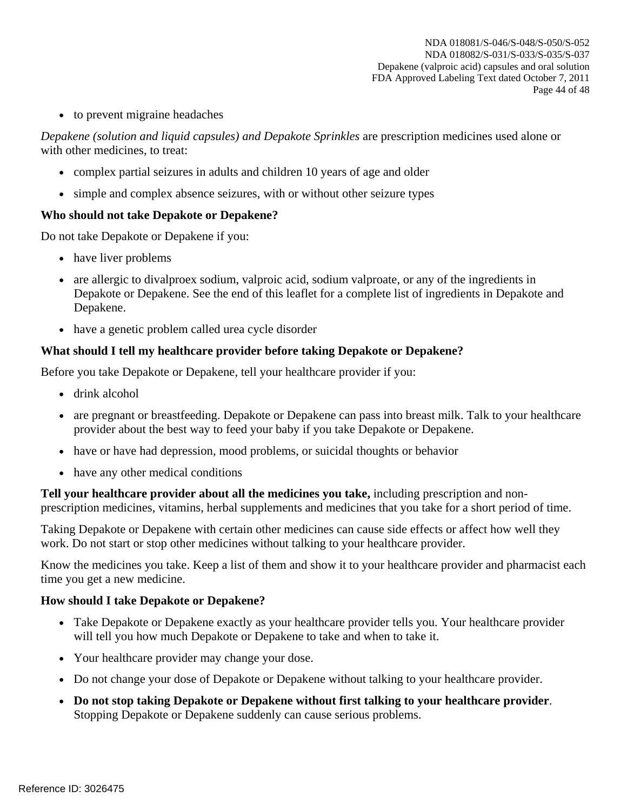• to prevent migraine headaches

*Depakene (solution and liquid capsules) and Depakote Sprinkles* are prescription medicines used alone or with other medicines, to treat:

- complex partial seizures in adults and children 10 years of age and older
- simple and complex absence seizures, with or without other seizure types

## **Who should not take Depakote or Depakene?**

Do not take Depakote or Depakene if you:

- have liver problems
- are allergic to divalproex sodium, valproic acid, sodium valproate, or any of the ingredients in Depakote or Depakene. See the end of this leaflet for a complete list of ingredients in Depakote and Depakene.
- have a genetic problem called urea cycle disorder

# **What should I tell my healthcare provider before taking Depakote or Depakene?**

Before you take Depakote or Depakene, tell your healthcare provider if you:

- drink alcohol
- are pregnant or breastfeeding. Depakote or Depakene can pass into breast milk. Talk to your healthcare provider about the best way to feed your baby if you take Depakote or Depakene.
- have or have had depression, mood problems, or suicidal thoughts or behavior
- have any other medical conditions

**Tell your healthcare provider about all the medicines you take,** including prescription and nonprescription medicines, vitamins, herbal supplements and medicines that you take for a short period of time.

Taking Depakote or Depakene with certain other medicines can cause side effects or affect how well they work. Do not start or stop other medicines without talking to your healthcare provider.

Know the medicines you take. Keep a list of them and show it to your healthcare provider and pharmacist each time you get a new medicine.

## **How should I take Depakote or Depakene?**

- Take Depakote or Depakene exactly as your healthcare provider tells you. Your healthcare provider will tell you how much Depakote or Depakene to take and when to take it.
- Your healthcare provider may change your dose.
- Do not change your dose of Depakote or Depakene without talking to your healthcare provider.
- • **Do not stop taking Depakote or Depakene without first talking to your healthcare provider**. Stopping Depakote or Depakene suddenly can cause serious problems.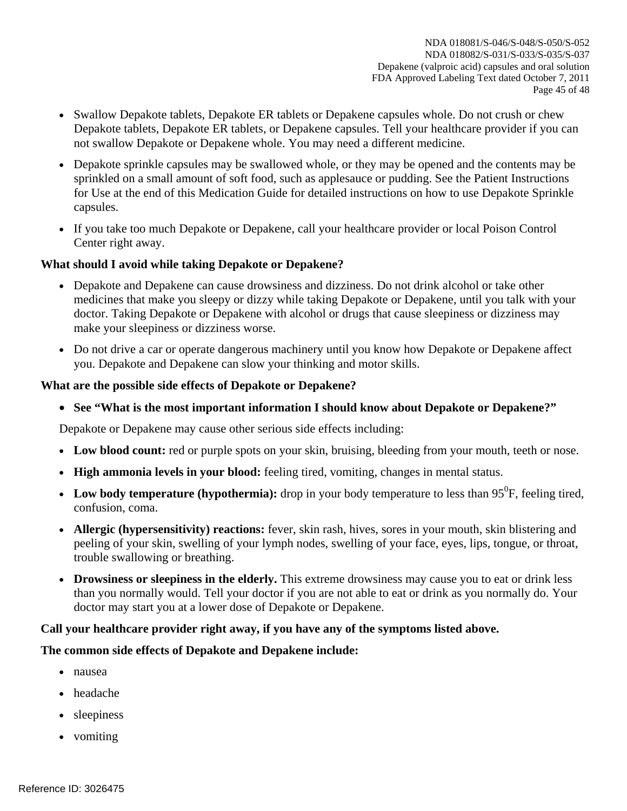- Swallow Depakote tablets, Depakote ER tablets or Depakene capsules whole. Do not crush or chew Depakote tablets, Depakote ER tablets, or Depakene capsules. Tell your healthcare provider if you can not swallow Depakote or Depakene whole. You may need a different medicine.
- Depakote sprinkle capsules may be swallowed whole, or they may be opened and the contents may be sprinkled on a small amount of soft food, such as applesauce or pudding. See the Patient Instructions for Use at the end of this Medication Guide for detailed instructions on how to use Depakote Sprinkle capsules.
- If you take too much Depakote or Depakene, call your healthcare provider or local Poison Control Center right away.

### **What should I avoid while taking Depakote or Depakene?**

- Depakote and Depakene can cause drowsiness and dizziness. Do not drink alcohol or take other medicines that make you sleepy or dizzy while taking Depakote or Depakene, until you talk with your doctor. Taking Depakote or Depakene with alcohol or drugs that cause sleepiness or dizziness may make your sleepiness or dizziness worse.
- Do not drive a car or operate dangerous machinery until you know how Depakote or Depakene affect you. Depakote and Depakene can slow your thinking and motor skills.

### **What are the possible side effects of Depakote or Depakene?**

• **See "What is the most important information I should know about Depakote or Depakene?"** 

Depakote or Depakene may cause other serious side effects including:

- Low blood count: red or purple spots on your skin, bruising, bleeding from your mouth, teeth or nose.
- • **High ammonia levels in your blood:** feeling tired, vomiting, changes in mental status.
- Low body temperature (hypothermia): drop in your body temperature to less than  $95^\circ F$ , feeling tired, confusion, coma.
- • **Allergic (hypersensitivity) reactions:** fever, skin rash, hives, sores in your mouth, skin blistering and peeling of your skin, swelling of your lymph nodes, swelling of your face, eyes, lips, tongue, or throat, trouble swallowing or breathing.
- Drowsiness or sleepiness in the elderly. This extreme drowsiness may cause you to eat or drink less than you normally would. Tell your doctor if you are not able to eat or drink as you normally do. Your doctor may start you at a lower dose of Depakote or Depakene.

#### **Call your healthcare provider right away, if you have any of the symptoms listed above.**

#### **The common side effects of Depakote and Depakene include:**

- • nausea
- • headache
- sleepiness
- vomiting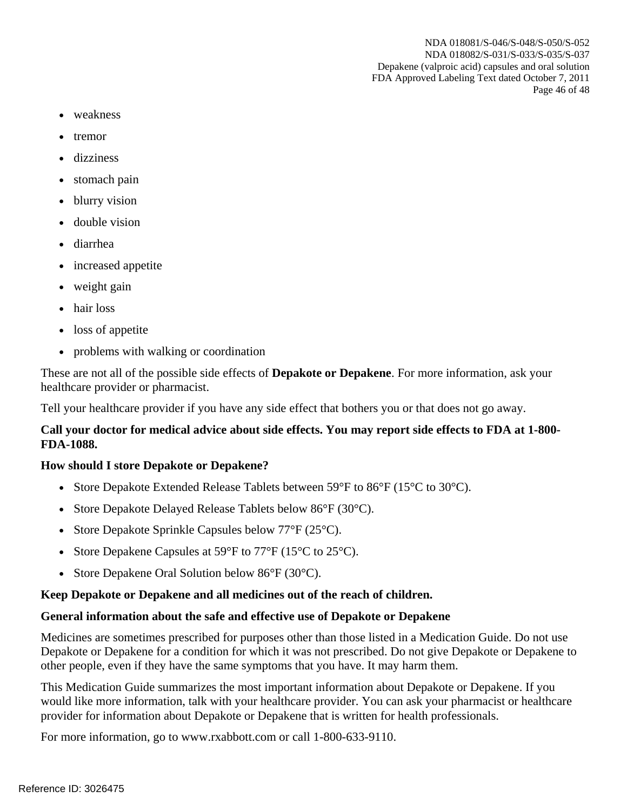- weakness
- tremor
- dizziness
- stomach pain
- blurry vision
- double vision
- diarrhea
- increased appetite
- weight gain
- hair loss
- loss of appetite
- problems with walking or coordination

These are not all of the possible side effects of **Depakote or Depakene**. For more information, ask your healthcare provider or pharmacist.

Tell your healthcare provider if you have any side effect that bothers you or that does not go away.

### **Call your doctor for medical advice about side effects. You may report side effects to FDA at 1-800- FDA-1088.**

#### **How should I store Depakote or Depakene?**

- Store Depakote Extended Release Tablets between 59°F to 86°F (15°C to 30°C).
- Store Depakote Delayed Release Tablets below 86°F (30°C).
- Store Depakote Sprinkle Capsules below 77°F (25°C).
- Store Depakene Capsules at 59°F to 77°F (15°C to 25°C).
- Store Depakene Oral Solution below 86°F (30°C).

#### **Keep Depakote or Depakene and all medicines out of the reach of children.**

#### **General information about the safe and effective use of Depakote or Depakene**

Medicines are sometimes prescribed for purposes other than those listed in a Medication Guide. Do not use Depakote or Depakene for a condition for which it was not prescribed. Do not give Depakote or Depakene to other people, even if they have the same symptoms that you have. It may harm them.

This Medication Guide summarizes the most important information about Depakote or Depakene. If you would like more information, talk with your healthcare provider. You can ask your pharmacist or healthcare provider for information about Depakote or Depakene that is written for health professionals.

For more information, go to www.rxabbott.com or call 1-800-633-9110.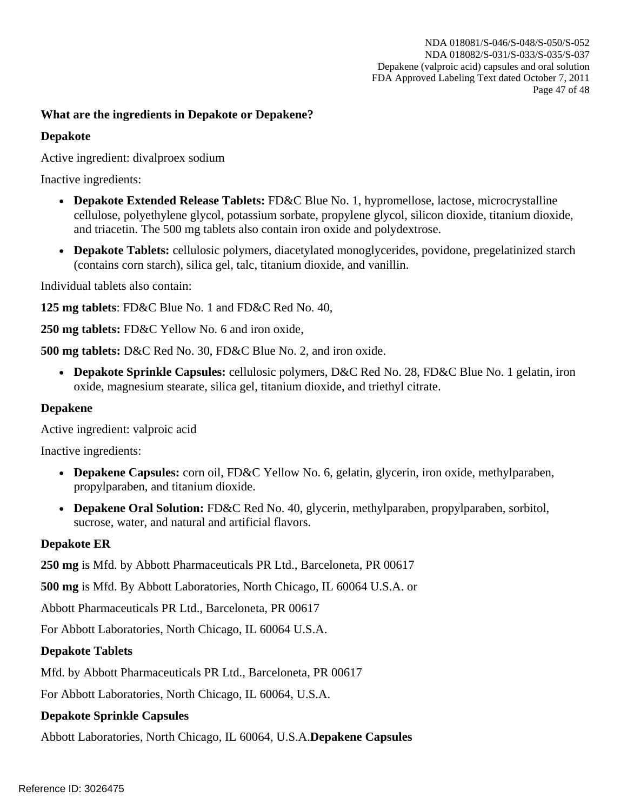## **What are the ingredients in Depakote or Depakene?**

#### **Depakote**

Active ingredient: divalproex sodium

Inactive ingredients:

- • **Depakote Extended Release Tablets:** FD&C Blue No. 1, hypromellose, lactose, microcrystalline cellulose, polyethylene glycol, potassium sorbate, propylene glycol, silicon dioxide, titanium dioxide, and triacetin. The 500 mg tablets also contain iron oxide and polydextrose.
- • **Depakote Tablets:** cellulosic polymers, diacetylated monoglycerides, povidone, pregelatinized starch (contains corn starch), silica gel, talc, titanium dioxide, and vanillin.

Individual tablets also contain:

**125 mg tablets**: FD&C Blue No. 1 and FD&C Red No. 40,

**250 mg tablets:** FD&C Yellow No. 6 and iron oxide,

**500 mg tablets:** D&C Red No. 30, FD&C Blue No. 2, and iron oxide.

• **Depakote Sprinkle Capsules:** cellulosic polymers, D&C Red No. 28, FD&C Blue No. 1 gelatin, iron oxide, magnesium stearate, silica gel, titanium dioxide, and triethyl citrate.

#### **Depakene**

Active ingredient: valproic acid

Inactive ingredients:

- **Depakene Capsules:** corn oil, FD&C Yellow No. 6, gelatin, glycerin, iron oxide, methylparaben, propylparaben, and titanium dioxide.
- • **Depakene Oral Solution:** FD&C Red No. 40, glycerin, methylparaben, propylparaben, sorbitol, sucrose, water, and natural and artificial flavors.

#### **Depakote ER**

**250 mg** is Mfd. by Abbott Pharmaceuticals PR Ltd., Barceloneta, PR 00617

**500 mg** is Mfd. By Abbott Laboratories, North Chicago, IL 60064 U.S.A. or

Abbott Pharmaceuticals PR Ltd., Barceloneta, PR 00617

For Abbott Laboratories, North Chicago, IL 60064 U.S.A.

#### **Depakote Tablets**

Mfd. by Abbott Pharmaceuticals PR Ltd., Barceloneta, PR 00617

For Abbott Laboratories, North Chicago, IL 60064, U.S.A.

#### **Depakote Sprinkle Capsules**

Abbott Laboratories, North Chicago, IL 60064, U.S.A.**Depakene Capsules**